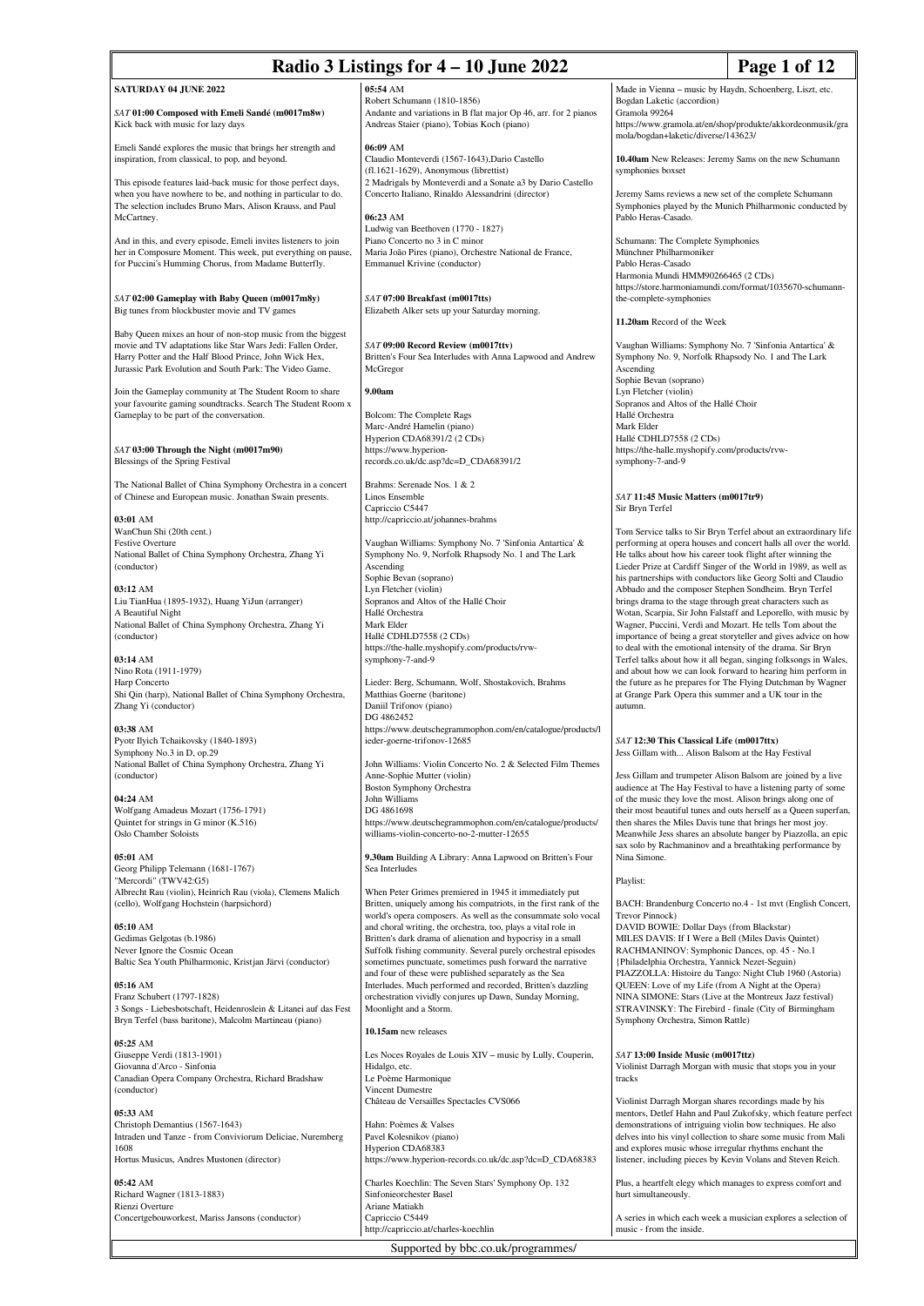| Radio 3 Listings for 4 - 10 June 2022<br>Page 1 of 12                                                                                                                                                                                           |                                                                                                                                                                                               |                                                                                                                                                                                                             |                                                                                                                                      |
|-------------------------------------------------------------------------------------------------------------------------------------------------------------------------------------------------------------------------------------------------|-----------------------------------------------------------------------------------------------------------------------------------------------------------------------------------------------|-------------------------------------------------------------------------------------------------------------------------------------------------------------------------------------------------------------|--------------------------------------------------------------------------------------------------------------------------------------|
| SATURDAY 04 JUNE 2022                                                                                                                                                                                                                           | 05:54 AM                                                                                                                                                                                      | Made in Vienna - music by Haydn, Schoenberg, Liszt, etc.                                                                                                                                                    |                                                                                                                                      |
| SAT 01:00 Composed with Emeli Sandé (m0017m8w)<br>Kick back with music for lazy days                                                                                                                                                            | Robert Schumann (1810-1856)<br>Andante and variations in B flat major Op 46, arr. for 2 pianos<br>Andreas Staier (piano), Tobias Koch (piano)                                                 | Bogdan Laketic (accordion)<br>Gramola 99264<br>mola/bogdan+laketic/diverse/143623/                                                                                                                          | https://www.gramola.at/en/shop/produkte/akkordeonmusik/gra                                                                           |
| Emeli Sandé explores the music that brings her strength and<br>inspiration, from classical, to pop, and beyond.                                                                                                                                 | 06:09 AM<br>Claudio Monteverdi (1567-1643), Dario Castello<br>$(fl.1621-1629)$ , Anonymous (librettist)                                                                                       | 10.40am New Releases: Jeremy Sams on the new Schumann<br>symphonies boxset                                                                                                                                  |                                                                                                                                      |
| This episode features laid-back music for those perfect days,<br>when you have nowhere to be, and nothing in particular to do.<br>The selection includes Bruno Mars, Alison Krauss, and Paul<br>McCartney.                                      | 2 Madrigals by Monteverdi and a Sonate a3 by Dario Castello<br>Concerto Italiano, Rinaldo Alessandrini (director)<br>06:23 AM                                                                 | Jeremy Sams reviews a new set of the complete Schumann<br>Pablo Heras-Casado.                                                                                                                               | Symphonies played by the Munich Philharmonic conducted by                                                                            |
| And in this, and every episode, Emeli invites listeners to join<br>her in Composure Moment. This week, put everything on pause,                                                                                                                 | Ludwig van Beethoven (1770 - 1827)<br>Piano Concerto no 3 in C minor<br>Maria João Pires (piano), Orchestre National de France,                                                               | Schumann: The Complete Symphonies<br>Münchner Philharmoniker                                                                                                                                                |                                                                                                                                      |
| for Puccini's Humming Chorus, from Madame Butterfly.                                                                                                                                                                                            | Emmanuel Krivine (conductor)                                                                                                                                                                  | Pablo Heras-Casado<br>Harmonia Mundi HMM90266465 (2 CDs)                                                                                                                                                    | https://store.harmoniamundi.com/format/1035670-schumann-                                                                             |
| SAT 02:00 Gameplay with Baby Queen (m0017m8y)<br>Big tunes from blockbuster movie and TV games                                                                                                                                                  | SAT 07:00 Breakfast (m0017tts)<br>Elizabeth Alker sets up your Saturday morning.                                                                                                              | the-complete-symphonies<br>11.20am Record of the Week                                                                                                                                                       |                                                                                                                                      |
| Baby Queen mixes an hour of non-stop music from the biggest<br>movie and TV adaptations like Star Wars Jedi: Fallen Order,<br>Harry Potter and the Half Blood Prince, John Wick Hex,<br>Jurassic Park Evolution and South Park: The Video Game. | SAT 09:00 Record Review (m0017ttv)<br>Britten's Four Sea Interludes with Anna Lapwood and Andrew<br>McGregor                                                                                  | Vaughan Williams: Symphony No. 7 'Sinfonia Antartica' &<br>Symphony No. 9, Norfolk Rhapsody No. 1 and The Lark<br>Ascending<br>Sophie Bevan (soprano)                                                       |                                                                                                                                      |
| Join the Gameplay community at The Student Room to share<br>your favourite gaming soundtracks. Search The Student Room x<br>Gameplay to be part of the conversation.                                                                            | 9.00am<br>Bolcom: The Complete Rags                                                                                                                                                           | Lyn Fletcher (violin)<br>Sopranos and Altos of the Hallé Choir<br>Hallé Orchestra                                                                                                                           |                                                                                                                                      |
|                                                                                                                                                                                                                                                 | Marc-André Hamelin (piano)<br>Hyperion CDA68391/2 (2 CDs)                                                                                                                                     | Mark Elder<br>Hallé CDHLD7558 (2 CDs)                                                                                                                                                                       |                                                                                                                                      |
| SAT 03:00 Through the Night (m0017m90)<br>Blessings of the Spring Festival                                                                                                                                                                      | https://www.hyperion-<br>records.co.uk/dc.asp?dc=D_CDA68391/2                                                                                                                                 | https://the-halle.myshopify.com/products/rvw-<br>symphony-7-and-9                                                                                                                                           |                                                                                                                                      |
| The National Ballet of China Symphony Orchestra in a concert<br>of Chinese and European music. Jonathan Swain presents.                                                                                                                         | Brahms: Serenade Nos. 1 & 2<br>Linos Ensemble<br>Capriccio C5447                                                                                                                              | SAT 11:45 Music Matters (m0017tr9)<br>Sir Bryn Terfel                                                                                                                                                       |                                                                                                                                      |
| 03:01 AM<br>WanChun Shi (20th cent.)<br><b>Festive Overture</b>                                                                                                                                                                                 | http://capriccio.at/johannes-brahms<br>Vaughan Williams: Symphony No. 7 'Sinfonia Antartica' &                                                                                                |                                                                                                                                                                                                             | Tom Service talks to Sir Bryn Terfel about an extraordinary life<br>performing at opera houses and concert halls all over the world. |
| National Ballet of China Symphony Orchestra, Zhang Yi<br>(conductor)                                                                                                                                                                            | Symphony No. 9, Norfolk Rhapsody No. 1 and The Lark<br>Ascending<br>Sophie Bevan (soprano)                                                                                                    | He talks about how his career took flight after winning the                                                                                                                                                 | Lieder Prize at Cardiff Singer of the World in 1989, as well as<br>his partnerships with conductors like Georg Solti and Claudio     |
| 03:12 AM<br>Liu TianHua (1895-1932), Huang YiJun (arranger)                                                                                                                                                                                     | Lyn Fletcher (violin)<br>Sopranos and Altos of the Hallé Choir                                                                                                                                | Abbado and the composer Stephen Sondheim. Bryn Terfel<br>brings drama to the stage through great characters such as                                                                                         |                                                                                                                                      |
| A Beautiful Night                                                                                                                                                                                                                               | Hallé Orchestra                                                                                                                                                                               |                                                                                                                                                                                                             | Wotan, Scarpia, Sir John Falstaff and Leporello, with music by                                                                       |
| National Ballet of China Symphony Orchestra, Zhang Yi                                                                                                                                                                                           | Mark Elder                                                                                                                                                                                    | Wagner, Puccini, Verdi and Mozart. He tells Tom about the                                                                                                                                                   |                                                                                                                                      |
| (conductor)                                                                                                                                                                                                                                     | Hallé CDHLD7558 (2 CDs)<br>https://the-halle.myshopify.com/products/rvw-                                                                                                                      | to deal with the emotional intensity of the drama. Sir Bryn                                                                                                                                                 | importance of being a great storyteller and gives advice on how                                                                      |
| 03:14 AM                                                                                                                                                                                                                                        | symphony-7-and-9                                                                                                                                                                              |                                                                                                                                                                                                             | Terfel talks about how it all began, singing folksongs in Wales,                                                                     |
| Nino Rota (1911-1979)<br>Harp Concerto                                                                                                                                                                                                          | Lieder: Berg, Schumann, Wolf, Shostakovich, Brahms                                                                                                                                            |                                                                                                                                                                                                             | and about how we can look forward to hearing him perform in<br>the future as he prepares for The Flying Dutchman by Wagner           |
| Shi Qin (harp), National Ballet of China Symphony Orchestra,<br>Zhang Yi (conductor)                                                                                                                                                            | Matthias Goerne (baritone)<br>Daniil Trifonov (piano)<br>DG 4862452                                                                                                                           | at Grange Park Opera this summer and a UK tour in the<br>autumn.                                                                                                                                            |                                                                                                                                      |
| 03:38 AM                                                                                                                                                                                                                                        | https://www.deutschegrammophon.com/en/catalogue/products/l                                                                                                                                    |                                                                                                                                                                                                             |                                                                                                                                      |
| Pyotr Ilyich Tchaikovsky (1840-1893)<br>Symphony No.3 in D, op.29                                                                                                                                                                               | ieder-goerne-trifonov-12685                                                                                                                                                                   | SAT 12:30 This Classical Life (m0017ttx)<br>Jess Gillam with Alison Balsom at the Hay Festival                                                                                                              |                                                                                                                                      |
| National Ballet of China Symphony Orchestra, Zhang Yi                                                                                                                                                                                           | John Williams: Violin Concerto No. 2 & Selected Film Themes                                                                                                                                   |                                                                                                                                                                                                             |                                                                                                                                      |
| (conductor)                                                                                                                                                                                                                                     | Anne-Sophie Mutter (violin)                                                                                                                                                                   |                                                                                                                                                                                                             | Jess Gillam and trumpeter Alison Balsom are joined by a live                                                                         |
| 04:24 AM                                                                                                                                                                                                                                        | <b>Boston Symphony Orchestra</b><br>John Williams                                                                                                                                             | of the music they love the most. Alison brings along one of                                                                                                                                                 | audience at The Hay Festival to have a listening party of some                                                                       |
| Wolfgang Amadeus Mozart (1756-1791)                                                                                                                                                                                                             | DG 4861698                                                                                                                                                                                    |                                                                                                                                                                                                             | their most beautiful tunes and outs herself as a Queen superfan,                                                                     |
| Quintet for strings in G minor (K.516)<br>Oslo Chamber Soloists                                                                                                                                                                                 | https://www.deutschegrammophon.com/en/catalogue/products/<br>williams-violin-concerto-no-2-mutter-12655                                                                                       | then shares the Miles Davis tune that brings her most joy.<br>sax solo by Rachmaninov and a breathtaking performance by                                                                                     | Meanwhile Jess shares an absolute banger by Piazzolla, an epic                                                                       |
| 05:01 AM<br>Georg Philipp Telemann (1681-1767)<br>"Mercordi" (TWV42:G5)                                                                                                                                                                         | 9.30am Building A Library: Anna Lapwood on Britten's Four<br>Sea Interludes                                                                                                                   | Nina Simone.<br>Playlist:                                                                                                                                                                                   |                                                                                                                                      |
| Albrecht Rau (violin), Heinrich Rau (viola), Clemens Malich<br>(cello), Wolfgang Hochstein (harpsichord)                                                                                                                                        | When Peter Grimes premiered in 1945 it immediately put<br>Britten, uniquely among his compatriots, in the first rank of the<br>world's opera composers. As well as the consummate solo vocal  | Trevor Pinnock)                                                                                                                                                                                             | BACH: Brandenburg Concerto no.4 - 1st mvt (English Concert,                                                                          |
| 05:10 AM<br>Gedimas Gelgotas (b.1986)<br>Never Ignore the Cosmic Ocean                                                                                                                                                                          | and choral writing, the orchestra, too, plays a vital role in<br>Britten's dark drama of alienation and hypocrisy in a small<br>Suffolk fishing community. Several purely orchestral episodes | DAVID BOWIE: Dollar Days (from Blackstar)<br>MILES DAVIS: If I Were a Bell (Miles Davis Quintet)<br>RACHMANINOV: Symphonic Dances, op. 45 - No.1                                                            |                                                                                                                                      |
| Baltic Sea Youth Philharmonic, Kristjan Järvi (conductor)                                                                                                                                                                                       | sometimes punctuate, sometimes push forward the narrative<br>and four of these were published separately as the Sea                                                                           | {Philadelphia Orchestra, Yannick Nezet-Seguin)<br>PIAZZOLLA: Histoire du Tango: Night Club 1960 (Astoria)                                                                                                   |                                                                                                                                      |
| $05:16$ AM<br>Franz Schubert (1797-1828)<br>3 Songs - Liebesbotschaft, Heidenroslein & Litanei auf das Fest<br>Bryn Terfel (bass baritone), Malcolm Martineau (piano)                                                                           | Interludes. Much performed and recorded, Britten's dazzling<br>orchestration vividly conjures up Dawn, Sunday Morning,<br>Moonlight and a Storm.                                              | QUEEN: Love of my Life (from A Night at the Opera)<br>NINA SIMONE: Stars (Live at the Montreux Jazz festival)<br>STRAVINSKY: The Firebird - finale (City of Birmingham<br>Symphony Orchestra, Simon Rattle) |                                                                                                                                      |
|                                                                                                                                                                                                                                                 | 10.15am new releases                                                                                                                                                                          |                                                                                                                                                                                                             |                                                                                                                                      |
| $05:25$ AM                                                                                                                                                                                                                                      |                                                                                                                                                                                               |                                                                                                                                                                                                             |                                                                                                                                      |
| Giuseppe Verdi (1813-1901)<br>Giovanna d'Arco - Sinfonia                                                                                                                                                                                        | Les Noces Royales de Louis XIV - music by Lully, Couperin,<br>Hidalgo, etc.                                                                                                                   | SAT 13:00 Inside Music (m0017ttz)<br>Violinist Darragh Morgan with music that stops you in your                                                                                                             |                                                                                                                                      |
| Canadian Opera Company Orchestra, Richard Bradshaw                                                                                                                                                                                              | Le Poème Harmonique                                                                                                                                                                           | tracks                                                                                                                                                                                                      |                                                                                                                                      |
| (conductor)                                                                                                                                                                                                                                     | Vincent Dumestre<br>Château de Versailles Spectacles CVS066                                                                                                                                   | Violinist Darragh Morgan shares recordings made by his                                                                                                                                                      |                                                                                                                                      |
| 05:33 AM                                                                                                                                                                                                                                        |                                                                                                                                                                                               |                                                                                                                                                                                                             | mentors, Detlef Hahn and Paul Zukofsky, which feature perfect                                                                        |
| Christoph Demantius (1567-1643)<br>Intraden und Tanze - from Conviviorum Deliciae, Nuremberg                                                                                                                                                    | Hahn: Poèmes & Valses<br>Pavel Kolesnikov (piano)                                                                                                                                             | demonstrations of intriguing violin bow techniques. He also                                                                                                                                                 | delves into his vinyl collection to share some music from Mali                                                                       |
| 1608                                                                                                                                                                                                                                            | Hyperion CDA68383                                                                                                                                                                             | and explores music whose irregular rhythms enchant the                                                                                                                                                      |                                                                                                                                      |
| Hortus Musicus, Andres Mustonen (director)                                                                                                                                                                                                      | https://www.hyperion-records.co.uk/dc.asp?dc=D_CDA68383                                                                                                                                       | listener, including pieces by Kevin Volans and Steven Reich.                                                                                                                                                |                                                                                                                                      |
| 05:42 AM<br>Richard Wagner (1813-1883)                                                                                                                                                                                                          | Charles Koechlin: The Seven Stars' Symphony Op. 132<br>Sinfonieorchester Basel                                                                                                                | Plus, a heartfelt elegy which manages to express comfort and<br>hurt simultaneously.                                                                                                                        |                                                                                                                                      |
| Rienzi Overture<br>Concertgebouworkest, Mariss Jansons (conductor)                                                                                                                                                                              | Ariane Matiakh<br>Capriccio C5449                                                                                                                                                             |                                                                                                                                                                                                             | A series in which each week a musician explores a selection of                                                                       |
|                                                                                                                                                                                                                                                 | http://capriccio.at/charles-koechlin                                                                                                                                                          | music - from the inside.                                                                                                                                                                                    |                                                                                                                                      |

╗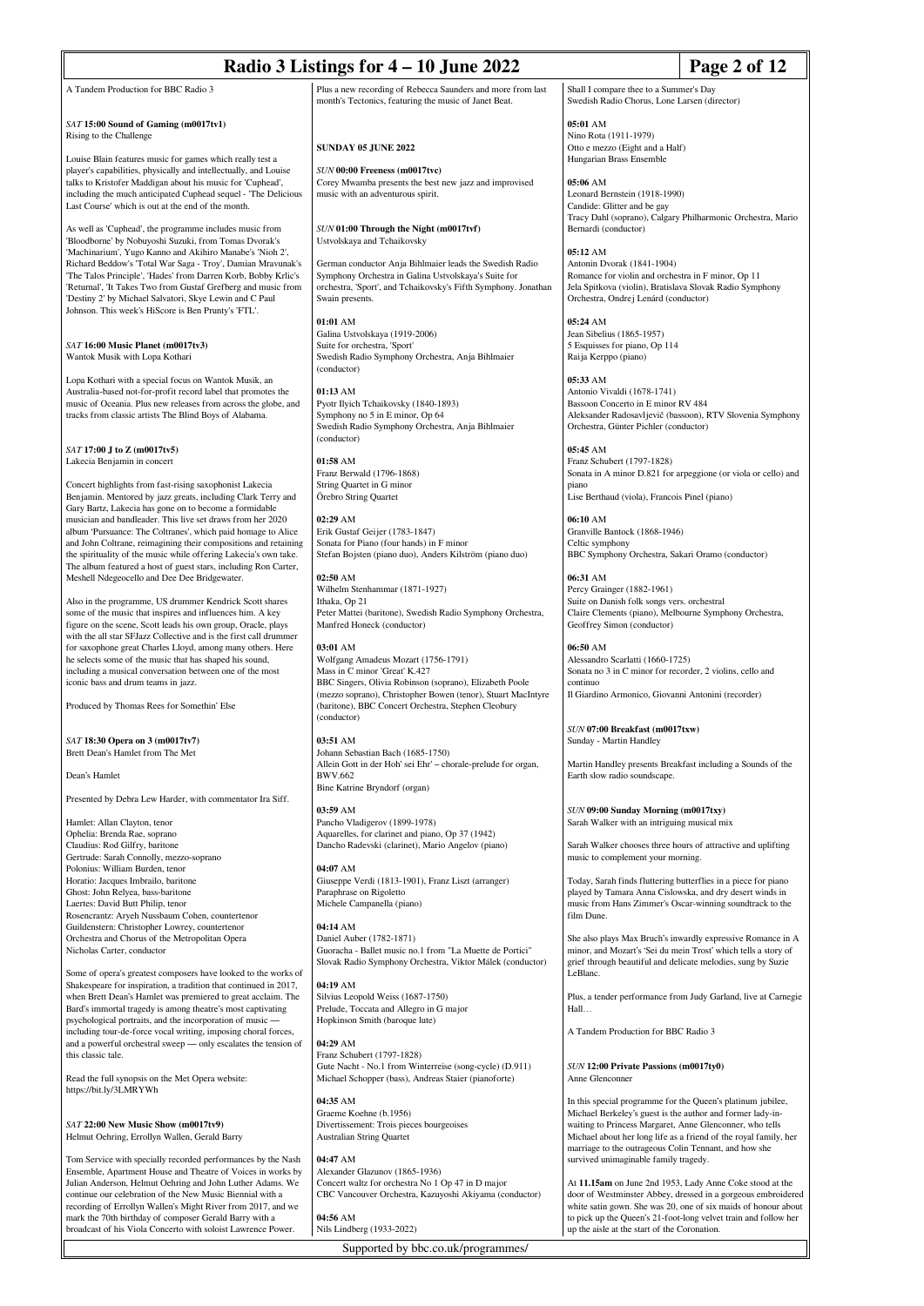| Radio 3 Listings for 4 - 10 June 2022                                                                                                                                                                                                                                                                                                                                                                                                           |                                                                                                                                                                                                             |                                                                                                                                                                                                            | Page 2 of 12                                                                                                                                                                                      |
|-------------------------------------------------------------------------------------------------------------------------------------------------------------------------------------------------------------------------------------------------------------------------------------------------------------------------------------------------------------------------------------------------------------------------------------------------|-------------------------------------------------------------------------------------------------------------------------------------------------------------------------------------------------------------|------------------------------------------------------------------------------------------------------------------------------------------------------------------------------------------------------------|---------------------------------------------------------------------------------------------------------------------------------------------------------------------------------------------------|
| A Tandem Production for BBC Radio 3                                                                                                                                                                                                                                                                                                                                                                                                             | Plus a new recording of Rebecca Saunders and more from last<br>month's Tectonics, featuring the music of Janet Beat.                                                                                        | Shall I compare thee to a Summer's Day<br>Swedish Radio Chorus, Lone Larsen (director)                                                                                                                     |                                                                                                                                                                                                   |
| SAT 15:00 Sound of Gaming (m0017tv1)<br>Rising to the Challenge<br>Louise Blain features music for games which really test a<br>player's capabilities, physically and intellectually, and Louise<br>talks to Kristofer Maddigan about his music for 'Cuphead',                                                                                                                                                                                  | <b>SUNDAY 05 JUNE 2022</b><br>SUN 00:00 Freeness (m0017tvc)<br>Corey Mwamba presents the best new jazz and improvised                                                                                       | 05:01 AM<br>Nino Rota (1911-1979)<br>Otto e mezzo (Eight and a Half)<br>Hungarian Brass Ensemble<br>05:06 AM                                                                                               |                                                                                                                                                                                                   |
| including the much anticipated Cuphead sequel - 'The Delicious<br>Last Course' which is out at the end of the month.                                                                                                                                                                                                                                                                                                                            | music with an adventurous spirit.                                                                                                                                                                           | Leonard Bernstein (1918-1990)<br>Candide: Glitter and be gay<br>Tracy Dahl (soprano), Calgary Philharmonic Orchestra, Mario                                                                                |                                                                                                                                                                                                   |
| As well as 'Cuphead', the programme includes music from<br>'Bloodborne' by Nobuyoshi Suzuki, from Tomas Dvorak's<br>'Machinarium', Yugo Kanno and Akihiro Manabe's 'Nioh 2',<br>Richard Beddow's 'Total War Saga - Troy', Damian Mravunak's                                                                                                                                                                                                     | SUN 01:00 Through the Night (m0017tvf)<br>Ustvolskaya and Tchaikovsky<br>German conductor Anja Bihlmaier leads the Swedish Radio                                                                            | Bernardi (conductor)<br>05:12 AM<br>Antonin Dvorak (1841-1904)                                                                                                                                             |                                                                                                                                                                                                   |
| 'The Talos Principle', 'Hades' from Darren Korb, Bobby Krlic's<br>Returnal', 'It Takes Two from Gustaf Grefberg and music from<br>'Destiny 2' by Michael Salvatori, Skye Lewin and C Paul<br>Johnson. This week's HiScore is Ben Prunty's 'FTL'.                                                                                                                                                                                                | Symphony Orchestra in Galina Ustvolskaya's Suite for<br>orchestra, 'Sport', and Tchaikovsky's Fifth Symphony. Jonathan<br>Swain presents.<br>01:01 AM                                                       | Romance for violin and orchestra in F minor, Op 11<br>Jela Spitkova (violin), Bratislava Slovak Radio Symphony<br>Orchestra, Ondrej Lenárd (conductor)<br>05:24 AM                                         |                                                                                                                                                                                                   |
| SAT 16:00 Music Planet (m0017tv3)<br>Wantok Musik with Lopa Kothari                                                                                                                                                                                                                                                                                                                                                                             | Galina Ustvolskaya (1919-2006)<br>Suite for orchestra, 'Sport'<br>Swedish Radio Symphony Orchestra, Anja Bihlmaier<br>(conductor)                                                                           | Jean Sibelius (1865-1957)<br>5 Esquisses for piano, Op 114<br>Raija Kerppo (piano)<br>05:33 AM                                                                                                             |                                                                                                                                                                                                   |
| Lopa Kothari with a special focus on Wantok Musik, an<br>Australia-based not-for-profit record label that promotes the<br>music of Oceania. Plus new releases from across the globe, and<br>tracks from classic artists The Blind Boys of Alabama.                                                                                                                                                                                              | $01:13$ AM<br>Pyotr Ilyich Tchaikovsky (1840-1893)<br>Symphony no 5 in E minor, Op 64<br>Swedish Radio Symphony Orchestra, Anja Bihlmaier<br>(conductor)                                                    | Antonio Vivaldi (1678-1741)<br>Bassoon Concerto in E minor RV 484<br>Orchestra, Günter Pichler (conductor)                                                                                                 | Aleksander Radosavljevič (bassoon), RTV Slovenia Symphony                                                                                                                                         |
| SAT 17:00 J to Z (m0017tv5)<br>Lakecia Benjamin in concert<br>Concert highlights from fast-rising saxophonist Lakecia                                                                                                                                                                                                                                                                                                                           | $01:58$ AM<br>Franz Berwald (1796-1868)<br>String Quartet in G minor                                                                                                                                        | 05:45 AM<br>Franz Schubert (1797-1828)<br>piano                                                                                                                                                            | Sonata in A minor D.821 for arpeggione (or viola or cello) and                                                                                                                                    |
| Benjamin. Mentored by jazz greats, including Clark Terry and<br>Gary Bartz, Lakecia has gone on to become a formidable<br>musician and bandleader. This live set draws from her 2020                                                                                                                                                                                                                                                            | Orebro String Quartet<br>02:29 AM                                                                                                                                                                           | Lise Berthaud (viola), Francois Pinel (piano)<br>06:10 AM                                                                                                                                                  |                                                                                                                                                                                                   |
| album 'Pursuance: The Coltranes', which paid homage to Alice<br>and John Coltrane, reimagining their compositions and retaining<br>the spirituality of the music while offering Lakecia's own take.<br>The album featured a host of guest stars, including Ron Carter,                                                                                                                                                                          | Erik Gustaf Geijer (1783-1847)<br>Sonata for Piano (four hands) in F minor<br>Stefan Bojsten (piano duo), Anders Kilström (piano duo)                                                                       | Granville Bantock (1868-1946)<br>Celtic symphony<br>BBC Symphony Orchestra, Sakari Oramo (conductor)                                                                                                       |                                                                                                                                                                                                   |
| Meshell Ndegeocello and Dee Dee Bridgewater.<br>Also in the programme, US drummer Kendrick Scott shares<br>some of the music that inspires and influences him. A key<br>figure on the scene, Scott leads his own group, Oracle, plays<br>with the all star SFJazz Collective and is the first call drummer                                                                                                                                      | 02:50 AM<br>Wilhelm Stenhammar (1871-1927)<br>Ithaka, Op 21<br>Peter Mattei (baritone), Swedish Radio Symphony Orchestra,<br>Manfred Honeck (conductor)                                                     | 06:31 AM<br>Percy Grainger (1882-1961)<br>Suite on Danish folk songs vers. orchestral<br>Claire Clements (piano), Melbourne Symphony Orchestra,<br>Geoffrey Simon (conductor)                              |                                                                                                                                                                                                   |
| for saxophone great Charles Lloyd, among many others. Here<br>he selects some of the music that has shaped his sound,<br>including a musical conversation between one of the most<br>iconic bass and drum teams in jazz.                                                                                                                                                                                                                        | 03:01 AM<br>Wolfgang Amadeus Mozart (1756-1791)<br>Mass in C minor 'Great' K.427<br>BBC Singers, Olivia Robinson (soprano), Elizabeth Poole<br>(mezzo soprano), Christopher Bowen (tenor), Stuart MacIntyre | 06:50 AM<br>Alessandro Scarlatti (1660-1725)<br>Sonata no 3 in C minor for recorder, 2 violins, cello and<br>continuo<br>Il Giardino Armonico, Giovanni Antonini (recorder)                                |                                                                                                                                                                                                   |
| Produced by Thomas Rees for Somethin' Else                                                                                                                                                                                                                                                                                                                                                                                                      | (baritone), BBC Concert Orchestra, Stephen Cleobury<br>(conductor)                                                                                                                                          | SUN 07:00 Breakfast (m0017txw)                                                                                                                                                                             |                                                                                                                                                                                                   |
| SAT 18:30 Opera on 3 (m0017tv7)<br>Brett Dean's Hamlet from The Met<br>Dean's Hamlet                                                                                                                                                                                                                                                                                                                                                            | 03:51 AM<br>Johann Sebastian Bach (1685-1750)<br>Allein Gott in der Hoh' sei Ehr' – chorale-prelude for organ,<br><b>BWV.662</b>                                                                            | Sunday - Martin Handley<br>Martin Handley presents Breakfast including a Sounds of the<br>Earth slow radio soundscape.                                                                                     |                                                                                                                                                                                                   |
| Presented by Debra Lew Harder, with commentator Ira Siff.                                                                                                                                                                                                                                                                                                                                                                                       | Bine Katrine Bryndorf (organ)<br>03:59 AM                                                                                                                                                                   | SUN 09:00 Sunday Morning (m0017txy)                                                                                                                                                                        |                                                                                                                                                                                                   |
| Hamlet: Allan Clayton, tenor<br>Ophelia: Brenda Rae, soprano<br>Claudius: Rod Gilfry, baritone<br>Gertrude: Sarah Connolly, mezzo-soprano<br>Polonius: William Burden, tenor                                                                                                                                                                                                                                                                    | Pancho Vladigerov (1899-1978)<br>Aquarelles, for clarinet and piano, Op 37 (1942)<br>Dancho Radevski (clarinet), Mario Angelov (piano)<br>04:07 AM                                                          | Sarah Walker with an intriguing musical mix<br>Sarah Walker chooses three hours of attractive and uplifting<br>music to complement your morning.                                                           |                                                                                                                                                                                                   |
| Horatio: Jacques Imbrailo, baritone<br>Ghost: John Relyea, bass-baritone<br>Laertes: David Butt Philip, tenor<br>Rosencrantz: Aryeh Nussbaum Cohen, countertenor<br>Guildenstern: Christopher Lowrey, countertenor                                                                                                                                                                                                                              | Giuseppe Verdi (1813-1901), Franz Liszt (arranger)<br>Paraphrase on Rigoletto<br>Michele Campanella (piano)<br>04:14 AM                                                                                     | Today, Sarah finds fluttering butterflies in a piece for piano<br>played by Tamara Anna Cislowska, and dry desert winds in<br>music from Hans Zimmer's Oscar-winning soundtrack to the<br>film Dune.       |                                                                                                                                                                                                   |
| Orchestra and Chorus of the Metropolitan Opera<br>Nicholas Carter, conductor<br>Some of opera's greatest composers have looked to the works of                                                                                                                                                                                                                                                                                                  | Daniel Auber (1782-1871)<br>Guoracha - Ballet music no.1 from "La Muette de Portici"<br>Slovak Radio Symphony Orchestra, Viktor Málek (conductor)                                                           | minor, and Mozart's 'Sei du mein Trost' which tells a story of<br>grief through beautiful and delicate melodies, sung by Suzie<br>LeBlanc.                                                                 | She also plays Max Bruch's inwardly expressive Romance in A                                                                                                                                       |
| Shakespeare for inspiration, a tradition that continued in 2017,<br>when Brett Dean's Hamlet was premiered to great acclaim. The<br>Bard's immortal tragedy is among theatre's most captivating<br>psychological portraits, and the incorporation of music -                                                                                                                                                                                    | 04:19 AM<br>Silvius Leopold Weiss (1687-1750)<br>Prelude, Toccata and Allegro in G major<br>Hopkinson Smith (baroque lute)                                                                                  | Hall                                                                                                                                                                                                       | Plus, a tender performance from Judy Garland, live at Carnegie                                                                                                                                    |
| including tour-de-force vocal writing, imposing choral forces,<br>and a powerful orchestral sweep — only escalates the tension of<br>this classic tale.<br>Read the full synopsis on the Met Opera website:                                                                                                                                                                                                                                     | 04:29 AM<br>Franz Schubert (1797-1828)<br>Gute Nacht - No.1 from Winterreise (song-cycle) (D.911)<br>Michael Schopper (bass), Andreas Staier (pianoforte)                                                   | A Tandem Production for BBC Radio 3<br>SUN 12:00 Private Passions (m0017ty0)<br>Anne Glenconner                                                                                                            |                                                                                                                                                                                                   |
| https://bit.ly/3LMRYWh<br>SAT 22:00 New Music Show (m0017tv9)<br>Helmut Oehring, Errollyn Wallen, Gerald Barry                                                                                                                                                                                                                                                                                                                                  | 04:35 AM<br>Graeme Koehne (b.1956)<br>Divertissement: Trois pieces bourgeoises<br>Australian String Quartet                                                                                                 | In this special programme for the Queen's platinum jubilee,<br>Michael Berkeley's guest is the author and former lady-in-<br>waiting to Princess Margaret, Anne Glenconner, who tells                      | Michael about her long life as a friend of the royal family, her                                                                                                                                  |
| Tom Service with specially recorded performances by the Nash<br>Ensemble, Apartment House and Theatre of Voices in works by<br>Julian Anderson, Helmut Oehring and John Luther Adams. We<br>continue our celebration of the New Music Biennial with a<br>recording of Errollyn Wallen's Might River from 2017, and we<br>mark the 70th birthday of composer Gerald Barry with a<br>broadcast of his Viola Concerto with soloist Lawrence Power. | 04:47 AM<br>Alexander Glazunov (1865-1936)<br>Concert waltz for orchestra No 1 Op 47 in D major<br>CBC Vancouver Orchestra, Kazuyoshi Akiyama (conductor)<br>04:56 AM<br>Nils Lindberg (1933-2022)          | marriage to the outrageous Colin Tennant, and how she<br>survived unimaginable family tragedy.<br>At 11.15am on June 2nd 1953, Lady Anne Coke stood at the<br>up the aisle at the start of the Coronation. | door of Westminster Abbey, dressed in a gorgeous embroidered<br>white satin gown. She was 20, one of six maids of honour about<br>to pick up the Queen's 21-foot-long velvet train and follow her |

Supported by bbc.co.uk/programmes/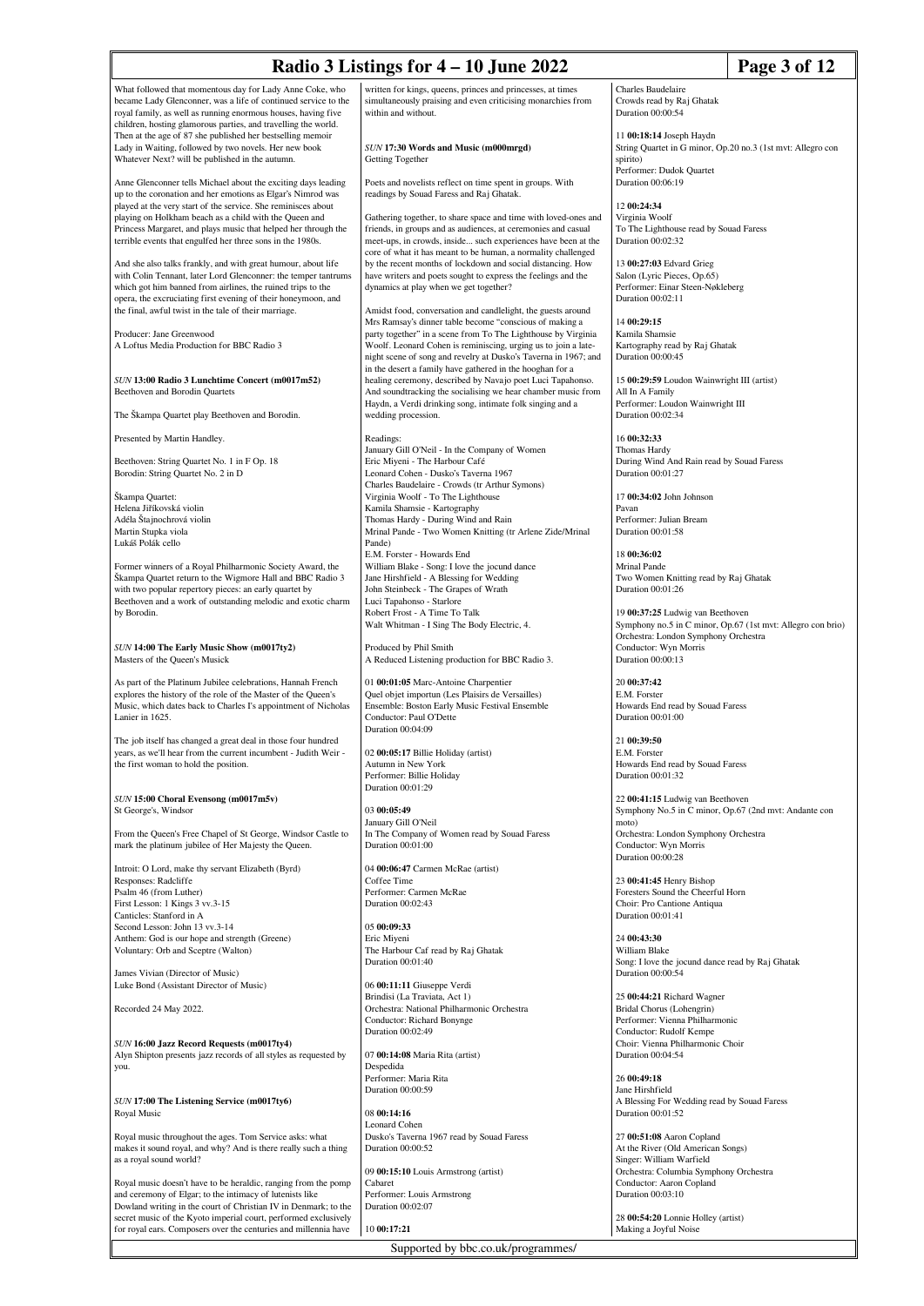| Radio 3 Listings for 4 – 10 June 2022<br>Page 3 of 12                                                                                                                                                                                                                                                                    |                                                                                                                                                                                                                                                                                                         |                                                                                                                                         |  |
|--------------------------------------------------------------------------------------------------------------------------------------------------------------------------------------------------------------------------------------------------------------------------------------------------------------------------|---------------------------------------------------------------------------------------------------------------------------------------------------------------------------------------------------------------------------------------------------------------------------------------------------------|-----------------------------------------------------------------------------------------------------------------------------------------|--|
| What followed that momentous day for Lady Anne Coke, who<br>became Lady Glenconner, was a life of continued service to the<br>royal family, as well as running enormous houses, having five                                                                                                                              | written for kings, queens, princes and princesses, at times<br>simultaneously praising and even criticising monarchies from<br>within and without.                                                                                                                                                      | Charles Baudelaire<br>Crowds read by Raj Ghatak<br>Duration 00:00:54                                                                    |  |
| children, hosting glamorous parties, and travelling the world.<br>Then at the age of 87 she published her bestselling memoir<br>Lady in Waiting, followed by two novels. Her new book<br>Whatever Next? will be published in the autumn.                                                                                 | SUN 17:30 Words and Music (m000mrgd)<br>Getting Together                                                                                                                                                                                                                                                | 11 00:18:14 Joseph Haydn<br>String Quartet in G minor, Op.20 no.3 (1st mvt: Allegro con<br>spirito)                                     |  |
| Anne Glenconner tells Michael about the exciting days leading<br>up to the coronation and her emotions as Elgar's Nimrod was                                                                                                                                                                                             | Poets and novelists reflect on time spent in groups. With<br>readings by Souad Faress and Raj Ghatak.                                                                                                                                                                                                   | Performer: Dudok Quartet<br>Duration 00:06:19                                                                                           |  |
| played at the very start of the service. She reminisces about<br>playing on Holkham beach as a child with the Queen and<br>Princess Margaret, and plays music that helped her through the<br>terrible events that engulfed her three sons in the 1980s.                                                                  | Gathering together, to share space and time with loved-ones and<br>friends, in groups and as audiences, at ceremonies and casual<br>meet-ups, in crowds, inside such experiences have been at the                                                                                                       | 12 00:24:34<br>Virginia Woolf<br>To The Lighthouse read by Souad Faress<br>Duration 00:02:32                                            |  |
| And she also talks frankly, and with great humour, about life<br>with Colin Tennant, later Lord Glenconner: the temper tantrums<br>which got him banned from airlines, the ruined trips to the<br>opera, the excruciating first evening of their honeymoon, and<br>the final, awful twist in the tale of their marriage. | core of what it has meant to be human, a normality challenged<br>by the recent months of lockdown and social distancing. How<br>have writers and poets sought to express the feelings and the<br>dynamics at play when we get together?<br>Amidst food, conversation and candlelight, the guests around | 13 00:27:03 Edvard Grieg<br>Salon (Lyric Pieces, Op.65)<br>Performer: Einar Steen-Nøkleberg<br>Duration 00:02:11                        |  |
| Producer: Jane Greenwood<br>A Loftus Media Production for BBC Radio 3                                                                                                                                                                                                                                                    | Mrs Ramsay's dinner table become "conscious of making a<br>party together" in a scene from To The Lighthouse by Virginia<br>Woolf. Leonard Cohen is reminiscing, urging us to join a late-<br>night scene of song and revelry at Dusko's Taverna in 1967; and                                           | 14 00:29:15<br>Kamila Shamsie<br>Kartography read by Raj Ghatak<br>Duration 00:00:45                                                    |  |
| SUN 13:00 Radio 3 Lunchtime Concert (m0017m52)<br>Beethoven and Borodin Quartets                                                                                                                                                                                                                                         | in the desert a family have gathered in the hooghan for a<br>healing ceremony, described by Navajo poet Luci Tapahonso.<br>And soundtracking the socialising we hear chamber music from<br>Haydn, a Verdi drinking song, intimate folk singing and a                                                    | 15 00:29:59 Loudon Wainwright III (artist)<br>All In A Family<br>Performer: Loudon Wainwright III                                       |  |
| The Škampa Quartet play Beethoven and Borodin.                                                                                                                                                                                                                                                                           | wedding procession.                                                                                                                                                                                                                                                                                     | Duration 00:02:34                                                                                                                       |  |
| Presented by Martin Handley.<br>Beethoven: String Quartet No. 1 in F Op. 18                                                                                                                                                                                                                                              | Readings:<br>January Gill O'Neil - In the Company of Women<br>Eric Miyeni - The Harbour Café                                                                                                                                                                                                            | 16 00:32:33<br>Thomas Hardy<br>During Wind And Rain read by Souad Faress                                                                |  |
| Borodin: String Quartet No. 2 in D<br>Škampa Quartet:<br>Helena Jiříkovská violin                                                                                                                                                                                                                                        | Leonard Cohen - Dusko's Taverna 1967<br>Charles Baudelaire - Crowds (tr Arthur Symons)<br>Virginia Woolf - To The Lighthouse<br>Kamila Shamsie - Kartography                                                                                                                                            | Duration 00:01:27<br>17 00:34:02 John Johnson<br>Pavan                                                                                  |  |
| Adéla Štajnochrová violin<br>Martin Stupka viola<br>Lukáš Polák cello                                                                                                                                                                                                                                                    | Thomas Hardy - During Wind and Rain<br>Mrinal Pande - Two Women Knitting (tr Arlene Zide/Mrinal<br>Pande)                                                                                                                                                                                               | Performer: Julian Bream<br>Duration 00:01:58                                                                                            |  |
| Former winners of a Royal Philharmonic Society Award, the<br>Škampa Quartet return to the Wigmore Hall and BBC Radio 3<br>with two popular repertory pieces: an early quartet by<br>Beethoven and a work of outstanding melodic and exotic charm                                                                         | E.M. Forster - Howards End<br>William Blake - Song: I love the jocund dance<br>Jane Hirshfield - A Blessing for Wedding<br>John Steinbeck - The Grapes of Wrath<br>Luci Tapahonso - Starlore                                                                                                            | 18 00:36:02<br>Mrinal Pande<br>Two Women Knitting read by Raj Ghatak<br>Duration 00:01:26                                               |  |
| by Borodin.                                                                                                                                                                                                                                                                                                              | Robert Frost - A Time To Talk<br>Walt Whitman - I Sing The Body Electric, 4.                                                                                                                                                                                                                            | 19 00:37:25 Ludwig van Beethoven<br>Symphony no.5 in C minor, Op.67 (1st mvt: Allegro con brio)<br>Orchestra: London Symphony Orchestra |  |
| SUN 14:00 The Early Music Show (m0017ty2)<br>Masters of the Queen's Musick                                                                                                                                                                                                                                               | Produced by Phil Smith<br>A Reduced Listening production for BBC Radio 3.                                                                                                                                                                                                                               | Conductor: Wyn Morris<br>Duration 00:00:13                                                                                              |  |
| As part of the Platinum Jubilee celebrations, Hannah French<br>explores the history of the role of the Master of the Queen's<br>Music, which dates back to Charles I's appointment of Nicholas<br>Lanier in 1625.                                                                                                        | 01 00:01:05 Marc-Antoine Charpentier<br>Quel objet importun (Les Plaisirs de Versailles)<br>Ensemble: Boston Early Music Festival Ensemble<br>Conductor: Paul O'Dette<br>Duration 00:04:09                                                                                                              | 20 00:37:42<br>E.M. Forster<br>Howards End read by Souad Faress<br>Duration 00:01:00                                                    |  |
| The job itself has changed a great deal in those four hundred<br>years, as we'll hear from the current incumbent - Judith Weir -<br>the first woman to hold the position.                                                                                                                                                | 02 00:05:17 Billie Holiday (artist)<br>Autumn in New York<br>Performer: Billie Holiday                                                                                                                                                                                                                  | 21 00:39:50<br>E.M. Forster<br>Howards End read by Souad Faress<br>Duration 00:01:32                                                    |  |
| SUN 15:00 Choral Evensong (m0017m5v)<br>St George's, Windsor                                                                                                                                                                                                                                                             | Duration 00:01:29<br>03 00:05:49                                                                                                                                                                                                                                                                        | 22 00:41:15 Ludwig van Beethoven<br>Symphony No.5 in C minor, Op.67 (2nd mvt: Andante con                                               |  |
| From the Queen's Free Chapel of St George, Windsor Castle to<br>mark the platinum jubilee of Her Majesty the Queen.                                                                                                                                                                                                      | January Gill O'Neil<br>In The Company of Women read by Souad Faress<br>Duration 00:01:00                                                                                                                                                                                                                | moto)<br>Orchestra: London Symphony Orchestra<br>Conductor: Wyn Morris<br>Duration 00:00:28                                             |  |
| Introit: O Lord, make thy servant Elizabeth (Byrd)<br>Responses: Radcliffe<br>Psalm 46 (from Luther)                                                                                                                                                                                                                     | 04 00:06:47 Carmen McRae (artist)<br>Coffee Time<br>Performer: Carmen McRae                                                                                                                                                                                                                             | 23 00:41:45 Henry Bishop<br>Foresters Sound the Cheerful Horn                                                                           |  |
| First Lesson: 1 Kings 3 vv.3-15<br>Canticles: Stanford in A<br>Second Lesson: John 13 vv.3-14                                                                                                                                                                                                                            | Duration 00:02:43<br>05 00:09:33                                                                                                                                                                                                                                                                        | Choir: Pro Cantione Antiqua<br>Duration 00:01:41                                                                                        |  |
| Anthem: God is our hope and strength (Greene)<br>Voluntary: Orb and Sceptre (Walton)                                                                                                                                                                                                                                     | Eric Miyeni<br>The Harbour Caf read by Raj Ghatak<br>Duration 00:01:40                                                                                                                                                                                                                                  | 24 00:43:30<br>William Blake<br>Song: I love the jocund dance read by Raj Ghatak                                                        |  |
| James Vivian (Director of Music)<br>Luke Bond (Assistant Director of Music)                                                                                                                                                                                                                                              | 06 00:11:11 Giuseppe Verdi<br>Brindisi (La Traviata, Act 1)                                                                                                                                                                                                                                             | Duration 00:00:54<br>25 00:44:21 Richard Wagner                                                                                         |  |
| Recorded 24 May 2022.                                                                                                                                                                                                                                                                                                    | Orchestra: National Philharmonic Orchestra<br>Conductor: Richard Bonynge<br>Duration 00:02:49                                                                                                                                                                                                           | Bridal Chorus (Lohengrin)<br>Performer: Vienna Philharmonic<br>Conductor: Rudolf Kempe                                                  |  |
| SUN 16:00 Jazz Record Requests (m0017ty4)<br>Alyn Shipton presents jazz records of all styles as requested by<br>you.                                                                                                                                                                                                    | 07 00:14:08 Maria Rita (artist)<br>Despedida                                                                                                                                                                                                                                                            | Choir: Vienna Philharmonic Choir<br>Duration 00:04:54                                                                                   |  |
| SUN 17:00 The Listening Service (m0017ty6)                                                                                                                                                                                                                                                                               | Performer: Maria Rita<br>Duration 00:00:59                                                                                                                                                                                                                                                              | 26 00:49:18<br>Jane Hirshfield<br>A Blessing For Wedding read by Souad Faress                                                           |  |
| Royal Music                                                                                                                                                                                                                                                                                                              | 08 00:14:16<br><b>Leonard Cohen</b>                                                                                                                                                                                                                                                                     | Duration 00:01:52                                                                                                                       |  |
| Royal music throughout the ages. Tom Service asks: what<br>makes it sound royal, and why? And is there really such a thing<br>as a royal sound world?                                                                                                                                                                    | Dusko's Taverna 1967 read by Souad Faress<br>Duration 00:00:52                                                                                                                                                                                                                                          | 27 00:51:08 Aaron Copland<br>At the River (Old American Songs)<br>Singer: William Warfield                                              |  |
| Royal music doesn't have to be heraldic, ranging from the pomp<br>and ceremony of Elgar; to the intimacy of lutenists like                                                                                                                                                                                               | 09 00:15:10 Louis Armstrong (artist)<br>Cabaret<br>Performer: Louis Armstrong                                                                                                                                                                                                                           | Orchestra: Columbia Symphony Orchestra<br>Conductor: Aaron Copland<br>Duration 00:03:10                                                 |  |

Royal music doesn't have to be heraldic, ranging from the pomp<br>and ceremony of Elgar; to the intimacy of lutenists like<br>Dowland writing in the court of Christian IV in Denmark; to the<br>secret music of the Kyoto imperial cou

Supported by bbc.co.uk/programmes/

28 **00:54:20** Lonnie Holley (artist) Making a Joyful Noise

09 **00:15:10** Louis Armstrong (artist) Cabaret Performer: Louis Armstrong Duration 00:02:07

10 **00:17:21**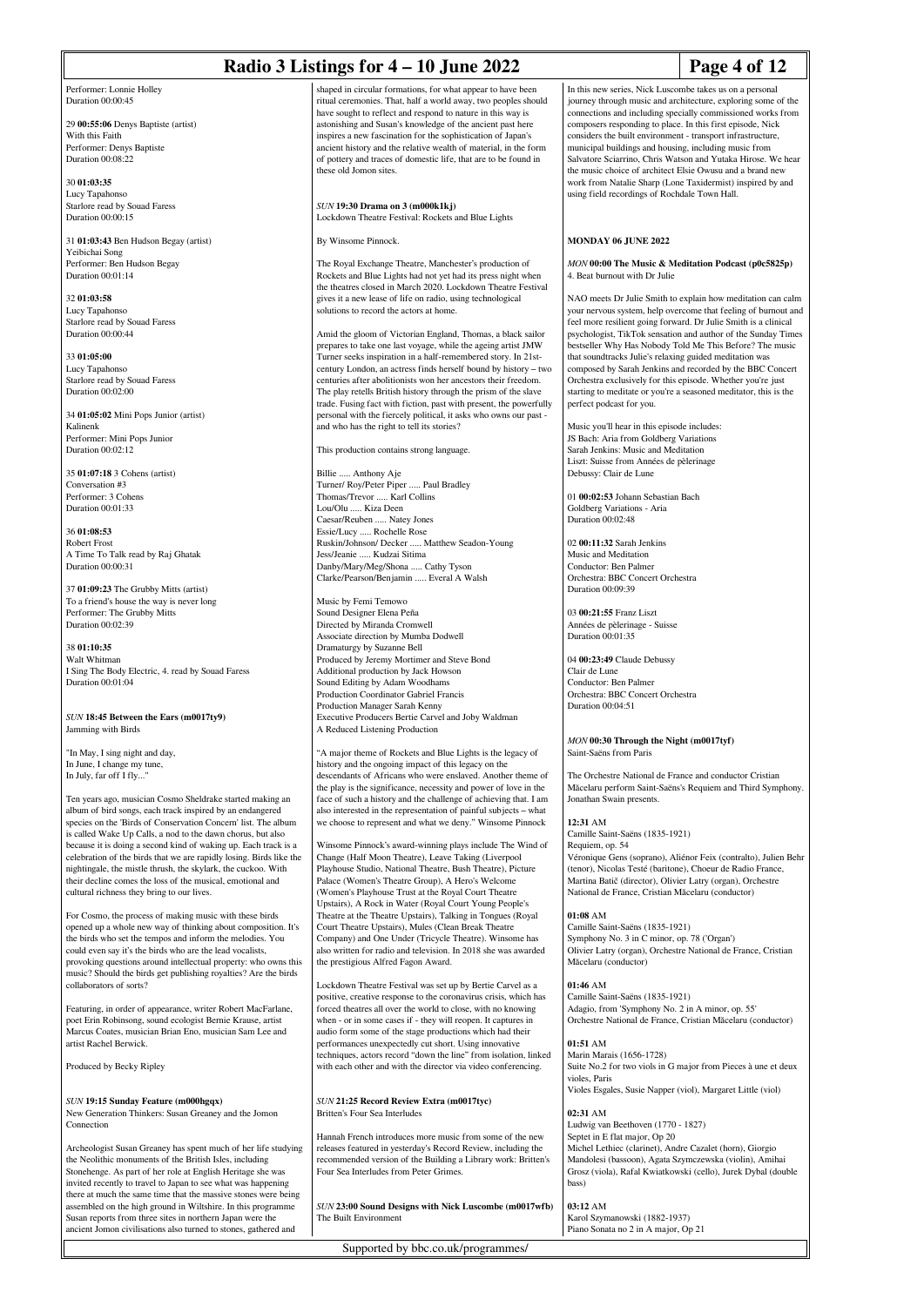|                                                                                                                                | Radio 3 Listings for $4 - 10$ June 2022                                                                                              | Page 4 of 12                                                                                                                     |
|--------------------------------------------------------------------------------------------------------------------------------|--------------------------------------------------------------------------------------------------------------------------------------|----------------------------------------------------------------------------------------------------------------------------------|
| Performer: Lonnie Holley                                                                                                       | shaped in circular formations, for what appear to have been                                                                          | In this new series, Nick Luscombe takes us on a personal                                                                         |
| Duration 00:00:45                                                                                                              | ritual ceremonies. That, half a world away, two peoples should<br>have sought to reflect and respond to nature in this way is        | journey through music and architecture, exploring some of the<br>connections and including specially commissioned works from     |
| 29 00:55:06 Denys Baptiste (artist)                                                                                            | astonishing and Susan's knowledge of the ancient past here                                                                           | composers responding to place. In this first episode, Nick                                                                       |
| With this Faith                                                                                                                | inspires a new fascination for the sophistication of Japan's                                                                         | considers the built environment - transport infrastructure,                                                                      |
| Performer: Denys Baptiste<br>Duration 00:08:22                                                                                 | ancient history and the relative wealth of material, in the form<br>of pottery and traces of domestic life, that are to be found in  | municipal buildings and housing, including music from<br>Salvatore Sciarrino, Chris Watson and Yutaka Hirose. We hear            |
|                                                                                                                                | these old Jomon sites.                                                                                                               | the music choice of architect Elsie Owusu and a brand new                                                                        |
| 30 01:03:35                                                                                                                    |                                                                                                                                      | work from Natalie Sharp (Lone Taxidermist) inspired by and                                                                       |
| Lucy Tapahonso<br>Starlore read by Souad Faress                                                                                | SUN 19:30 Drama on 3 (m000k1kj)                                                                                                      | using field recordings of Rochdale Town Hall.                                                                                    |
| Duration 00:00:15                                                                                                              | Lockdown Theatre Festival: Rockets and Blue Lights                                                                                   |                                                                                                                                  |
|                                                                                                                                |                                                                                                                                      |                                                                                                                                  |
| 31 01:03:43 Ben Hudson Begay (artist)<br>Yeibichai Song                                                                        | By Winsome Pinnock.                                                                                                                  | MONDAY 06 JUNE 2022                                                                                                              |
| Performer: Ben Hudson Begay                                                                                                    | The Royal Exchange Theatre, Manchester's production of                                                                               | MON 00:00 The Music & Meditation Podcast (p0c5825p)                                                                              |
| Duration 00:01:14                                                                                                              | Rockets and Blue Lights had not yet had its press night when                                                                         | 4. Beat burnout with Dr Julie                                                                                                    |
| 32 01:03:58                                                                                                                    | the theatres closed in March 2020. Lockdown Theatre Festival<br>gives it a new lease of life on radio, using technological           | NAO meets Dr Julie Smith to explain how meditation can calm                                                                      |
| Lucy Tapahonso                                                                                                                 | solutions to record the actors at home.                                                                                              | your nervous system, help overcome that feeling of burnout and                                                                   |
| Starlore read by Souad Faress<br>Duration 00:00:44                                                                             | Amid the gloom of Victorian England, Thomas, a black sailor                                                                          | feel more resilient going forward. Dr Julie Smith is a clinical<br>psychologist, TikTok sensation and author of the Sunday Times |
|                                                                                                                                | prepares to take one last voyage, while the ageing artist JMW                                                                        | bestseller Why Has Nobody Told Me This Before? The music                                                                         |
| 33 01:05:00                                                                                                                    | Turner seeks inspiration in a half-remembered story. In 21st-                                                                        | that soundtracks Julie's relaxing guided meditation was                                                                          |
| Lucy Tapahonso                                                                                                                 | century London, an actress finds herself bound by history - two<br>centuries after abolitionists won her ancestors their freedom.    | composed by Sarah Jenkins and recorded by the BBC Concert                                                                        |
| Starlore read by Souad Faress<br>Duration 00:02:00                                                                             | The play retells British history through the prism of the slave                                                                      | Orchestra exclusively for this episode. Whether you're just<br>starting to meditate or you're a seasoned meditator, this is the  |
|                                                                                                                                | trade. Fusing fact with fiction, past with present, the powerfully                                                                   | perfect podcast for you.                                                                                                         |
| 34 01:05:02 Mini Pops Junior (artist)                                                                                          | personal with the fiercely political, it asks who owns our past -                                                                    |                                                                                                                                  |
| Kalinenk<br>Performer: Mini Pops Junior                                                                                        | and who has the right to tell its stories?                                                                                           | Music you'll hear in this episode includes:<br>JS Bach: Aria from Goldberg Variations                                            |
| Duration 00:02:12                                                                                                              | This production contains strong language.                                                                                            | Sarah Jenkins: Music and Meditation                                                                                              |
|                                                                                                                                |                                                                                                                                      | Liszt: Suisse from Années de pèlerinage                                                                                          |
| 35 01:07:18 3 Cohens (artist)<br>Conversation #3                                                                               | Billie  Anthony Aje<br>Turner/ Roy/Peter Piper  Paul Bradley                                                                         | Debussy: Clair de Lune                                                                                                           |
| Performer: 3 Cohens                                                                                                            | Thomas/Trevor  Karl Collins                                                                                                          | 01 00:02:53 Johann Sebastian Bach                                                                                                |
| Duration 00:01:33                                                                                                              | Lou/Olu  Kiza Deen                                                                                                                   | Goldberg Variations - Aria                                                                                                       |
| 36 01:08:53                                                                                                                    | Caesar/Reuben  Natey Jones<br>Essie/Lucy  Rochelle Rose                                                                              | Duration 00:02:48                                                                                                                |
| Robert Frost                                                                                                                   | Ruskin/Johnson/ Decker  Matthew Seadon-Young                                                                                         | 02 00:11:32 Sarah Jenkins                                                                                                        |
| A Time To Talk read by Raj Ghatak                                                                                              | Jess/Jeanie  Kudzai Sitima                                                                                                           | Music and Meditation                                                                                                             |
| Duration 00:00:31                                                                                                              | Danby/Mary/Meg/Shona  Cathy Tyson<br>Clarke/Pearson/Benjamin  Everal A Walsh                                                         | Conductor: Ben Palmer<br>Orchestra: BBC Concert Orchestra                                                                        |
| 37 01:09:23 The Grubby Mitts (artist)                                                                                          |                                                                                                                                      | Duration 00:09:39                                                                                                                |
| To a friend's house the way is never long                                                                                      | Music by Femi Temowo                                                                                                                 |                                                                                                                                  |
| Performer: The Grubby Mitts<br>Duration 00:02:39                                                                               | Sound Designer Elena Peña<br>Directed by Miranda Cromwell                                                                            | 03 00:21:55 Franz Liszt<br>Années de pèlerinage - Suisse                                                                         |
|                                                                                                                                | Associate direction by Mumba Dodwell                                                                                                 | Duration 00:01:35                                                                                                                |
| 38 01:10:35<br>Walt Whitman                                                                                                    | Dramaturgy by Suzanne Bell<br>Produced by Jeremy Mortimer and Steve Bond                                                             | 04 00:23:49 Claude Debussy                                                                                                       |
| I Sing The Body Electric, 4. read by Souad Faress                                                                              | Additional production by Jack Howson                                                                                                 | Clair de Lune                                                                                                                    |
| Duration 00:01:04                                                                                                              | Sound Editing by Adam Woodhams                                                                                                       | Conductor: Ben Palmer                                                                                                            |
|                                                                                                                                | Production Coordinator Gabriel Francis<br>Production Manager Sarah Kenny                                                             | Orchestra: BBC Concert Orchestra<br>Duration 00:04:51                                                                            |
| SUN 18:45 Between the Ears (m0017ty9)                                                                                          | Executive Producers Bertie Carvel and Joby Waldman                                                                                   |                                                                                                                                  |
| Jamming with Birds                                                                                                             | A Reduced Listening Production                                                                                                       |                                                                                                                                  |
| "In May, I sing night and day,                                                                                                 | "A major theme of Rockets and Blue Lights is the legacy of                                                                           | MON 00:30 Through the Night (m0017tyf)<br>Saint-Saëns from Paris                                                                 |
| In June, I change my tune,                                                                                                     | history and the ongoing impact of this legacy on the                                                                                 |                                                                                                                                  |
| In July, far off I fly"                                                                                                        | descendants of Africans who were enslaved. Another theme of                                                                          | The Orchestre National de France and conductor Cristian                                                                          |
| Ten years ago, musician Cosmo Sheldrake started making an                                                                      | the play is the significance, necessity and power of love in the<br>face of such a history and the challenge of achieving that. I am | Măcelaru perform Saint-Saëns's Requiem and Third Symphony.<br>Jonathan Swain presents.                                           |
| album of bird songs, each track inspired by an endangered                                                                      | also interested in the representation of painful subjects – what                                                                     |                                                                                                                                  |
| species on the 'Birds of Conservation Concern' list. The album                                                                 | we choose to represent and what we deny." Winsome Pinnock                                                                            | 12:31 AM                                                                                                                         |
| is called Wake Up Calls, a nod to the dawn chorus, but also<br>because it is doing a second kind of waking up. Each track is a | Winsome Pinnock's award-winning plays include The Wind of                                                                            | Camille Saint-Saëns (1835-1921)<br>Requiem, op. 54                                                                               |
| celebration of the birds that we are rapidly losing. Birds like the                                                            | Change (Half Moon Theatre), Leave Taking (Liverpool                                                                                  | Véronique Gens (soprano), Aliénor Feix (contralto), Julien Behi                                                                  |
| nightingale, the mistle thrush, the skylark, the cuckoo. With                                                                  | Playhouse Studio, National Theatre, Bush Theatre), Picture                                                                           | (tenor), Nicolas Testé (baritone), Choeur de Radio France,                                                                       |
| their decline comes the loss of the musical, emotional and<br>cultural richness they bring to our lives.                       | Palace (Women's Theatre Group), A Hero's Welcome<br>(Women's Playhouse Trust at the Royal Court Theatre                              | Martina Batič (director), Olivier Latry (organ), Orchestre<br>National de France, Cristian Măcelaru (conductor)                  |
|                                                                                                                                | Upstairs), A Rock in Water (Royal Court Young People's                                                                               |                                                                                                                                  |
| For Cosmo, the process of making music with these birds                                                                        | Theatre at the Theatre Upstairs), Talking in Tongues (Royal                                                                          | $01:08$ AM                                                                                                                       |
| opened up a whole new way of thinking about composition. It's<br>the birds who set the tempos and inform the melodies. You     | Court Theatre Upstairs), Mules (Clean Break Theatre<br>Company) and One Under (Tricycle Theatre). Winsome has                        | Camille Saint-Saëns (1835-1921)<br>Symphony No. 3 in C minor, op. 78 ('Organ')                                                   |
| could even say it's the birds who are the lead vocalists,                                                                      | also written for radio and television. In 2018 she was awarded                                                                       | Olivier Latry (organ), Orchestre National de France, Cristian                                                                    |
| provoking questions around intellectual property: who owns this                                                                | the prestigious Alfred Fagon Award.                                                                                                  | Măcelaru (conductor)                                                                                                             |
| music? Should the birds get publishing royalties? Are the birds<br>collaborators of sorts?                                     | Lockdown Theatre Festival was set up by Bertie Carvel as a                                                                           | 01:46 AM                                                                                                                         |
|                                                                                                                                | positive, creative response to the coronavirus crisis, which has                                                                     | Camille Saint-Saëns (1835-1921)                                                                                                  |
| Featuring, in order of appearance, writer Robert MacFarlane,                                                                   | forced theatres all over the world to close, with no knowing                                                                         | Adagio, from 'Symphony No. 2 in A minor, op. 55'                                                                                 |
| poet Erin Robinsong, sound ecologist Bernie Krause, artist<br>Marcus Coates, musician Brian Eno, musician Sam Lee and          | when - or in some cases if - they will reopen. It captures in<br>audio form some of the stage productions which had their            | Orchestre National de France, Cristian Măcelaru (conductor)                                                                      |
| artist Rachel Berwick.                                                                                                         | performances unexpectedly cut short. Using innovative                                                                                | 01:51 AM                                                                                                                         |
|                                                                                                                                | techniques, actors record "down the line" from isolation, linked                                                                     | Marin Marais (1656-1728)                                                                                                         |
| Produced by Becky Ripley                                                                                                       | with each other and with the director via video conferencing.                                                                        | Suite No.2 for two viols in G major from Pieces à une et deux<br>violes, Paris                                                   |
|                                                                                                                                |                                                                                                                                      | Violes Esgales, Susie Napper (viol), Margaret Little (viol)                                                                      |
| SUN 19:15 Sunday Feature (m000hgqx)                                                                                            | SUN 21:25 Record Review Extra (m0017tyc)                                                                                             |                                                                                                                                  |
| New Generation Thinkers: Susan Greaney and the Jomon<br>Connection                                                             | Britten's Four Sea Interludes                                                                                                        | 02:31 AM<br>Ludwig van Beethoven (1770 - 1827)                                                                                   |
|                                                                                                                                | Hannah French introduces more music from some of the new                                                                             | Septet in E flat major, Op 20                                                                                                    |
| Archeologist Susan Greaney has spent much of her life studying                                                                 | releases featured in yesterday's Record Review, including the                                                                        | Michel Lethiec (clarinet), Andre Cazalet (horn), Giorgio                                                                         |
| the Neolithic monuments of the British Isles, including<br>Stonehenge. As part of her role at English Heritage she was         | recommended version of the Building a Library work: Britten's<br>Four Sea Interludes from Peter Grimes.                              | Mandolesi (bassoon), Agata Szymczewska (violin), Amihai<br>Grosz (viola), Rafal Kwiatkowski (cello), Jurek Dybal (double         |

Archeologist Susan Greaney has spent much of her life studying the Neolithic monuments of the British Isles, including Stonehenge. As part of her role at English Heritage she was invited recently to travel to Japan to see what was happening there at much the same time that the massive stones were being assembled on the high ground in Wiltshire. In this programme Susan reports from three sites in northern Japan were the ancient Jomon civilisations also turned to stones, gathered and

*SUN* **23:00 Sound Designs with Nick Luscombe (m0017wfb)** The Built Environment

Supported by bbc.co.uk/programmes/

Karol Szymanowski (1882-1937) Piano Sonata no 2 in A major, Op 21

bass) **03:12** AM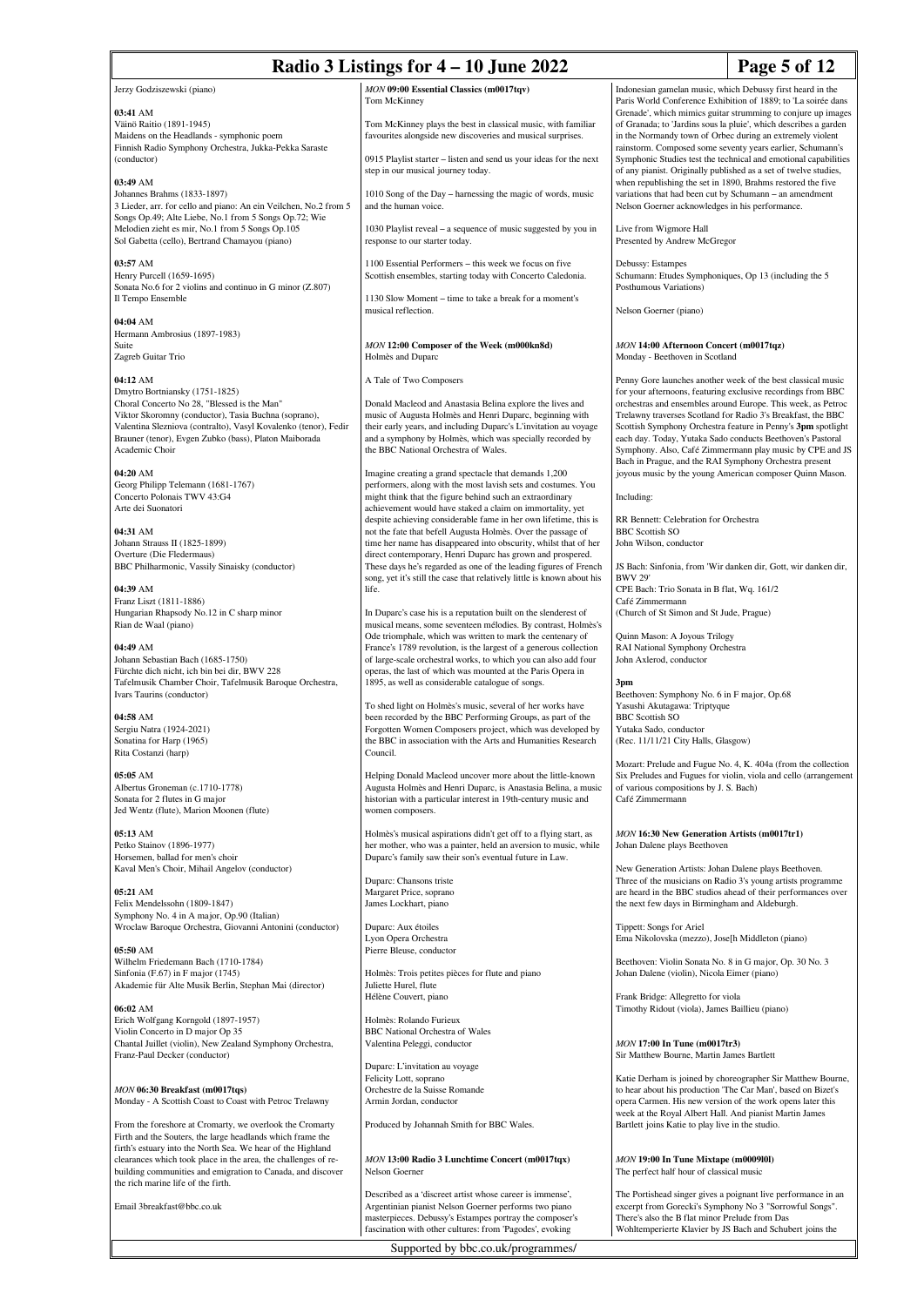Jerzy Godziszewski (piano)

#### **03:41** AM

Väinö Raitio (1891-1945) Maidens on the Headlands - symphonic poem Finnish Radio Symphony Orchestra, Jukka-Pekka Saraste (conductor)

### **03:49** AM

Johannes Brahms (1833-1897) 3 Lieder, arr. for cello and piano: An ein Veilchen, No.2 from 5 Songs Op.49; Alte Liebe, No.1 from 5 Songs Op.72; Wie Melodien zieht es mir, No.1 from 5 Songs Op.105 Sol Gabetta (cello), Bertrand Chamayou (piano)

**03:57** AM Henry Purcell (1659-1695) Sonata No.6 for 2 violins and continuo in G minor (Z.807) Il Tempo Ensemble

**04:04** AM Hermann Ambrosius (1897-1983) Suite Zagreb Guitar Trio

### **04:12** AM

Dmytro Bortniansky (1751-1825) Choral Concerto No 28, "Blessed is the Man" Viktor Skoromny (conductor), Tasia Buchna (soprano), Valentina Slezniova (contralto), Vasyl Kovalenko (tenor), Fedir Brauner (tenor), Evgen Zubko (bass), Platon Maiborada Academic Choir

**04:20** AM Georg Philipp Telemann (1681-1767) Concerto Polonais TWV 43:G4 Arte dei Suonatori

**04:31** AM Johann Strauss II (1825-1899) Overture (Die Fledermaus) BBC Philharmonic, Vassily Sinaisky (conductor)

**04:39** AM Franz Liszt (1811-1886) Hungarian Rhapsody No.12 in C sharp minor Rian de Waal (piano)

#### **04:49** AM

Johann Sebastian Bach (1685-1750) Fürchte dich nicht, ich bin bei dir, BWV 228 Tafelmusik Chamber Choir, Tafelmusik Baroque Orchestra, Ivars Taurins (conductor)

**04:58** AM Sergiu Natra (1924-2021) Sonatina for Harp (1965) Rita Costanzi (harp)

**05:05** AM Albertus Groneman (c.1710-1778) Sonata for 2 flutes in G major Jed Wentz (flute), Marion Moonen (flute)

**05:13** AM Petko Stainov (1896-1977) Horsemen, ballad for men's choir Kaval Men's Choir, Mihail Angelov (conductor)

**05:21** AM Felix Mendelssohn (1809-1847) Symphony No. 4 in A major, Op.90 (Italian) Wroclaw Baroque Orchestra, Giovanni Antonini (conductor)

**05:50** AM Wilhelm Friedemann Bach (1710-1784) Sinfonia (F.67) in F major (1745) Akademie für Alte Musik Berlin, Stephan Mai (director)

**06:02** AM Erich Wolfgang Korngold (1897-1957) Violin Concerto in D major Op 35 Chantal Juillet (violin), New Zealand Symphony Orchestra, Franz-Paul Decker (conductor)

*MON* **06:30 Breakfast (m0017tqs)** Monday - A Scottish Coast to Coast with Petroc Trelawny

From the foreshore at Cromarty, we overlook the Cromarty Firth and the Souters, the large headlands which frame the firth's estuary into the North Sea. We hear of the Highland clearances which took place in the area, the challenges of rebuilding communities and emigration to Canada, and discover the rich marine life of the firth.

Email 3breakfast@bbc.co.uk

*MON* **09:00 Essential Classics (m0017tqv)** Tom McKinney

Tom McKinney plays the best in classical music, with familiar favourites alongside new discoveries and musical surprises.

0915 Playlist starter – listen and send us your ideas for the next step in our musical journey today.

1010 Song of the Day – harnessing the magic of words, music and the human voice.

1030 Playlist reveal – a sequence of music suggested by you in response to our starter today.

1100 Essential Performers – this week we focus on five Scottish ensembles, starting today with Concerto Caledonia.

1130 Slow Moment – time to take a break for a moment's musical reflection.

*MON* **12:00 Composer of the Week (m000kn8d)** Holmès and Duparc

A Tale of Two Composers

Donald Macleod and Anastasia Belina explore the lives and music of Augusta Holmès and Henri Duparc, beginning with their early years, and including Duparc's L'invitation au voyage and a symphony by Holmès, which was specially recorded by the BBC National Orchestra of Wales.

Imagine creating a grand spectacle that demands 1,200 performers, along with the most lavish sets and costumes. You might think that the figure behind such an extraordinary achievement would have staked a claim on immortality, yet despite achieving considerable fame in her own lifetime, this is not the fate that befell Augusta Holmès. Over the passage of time her name has disappeared into obscurity, whilst that of her direct contemporary, Henri Duparc has grown and prospered. These days he's regarded as one of the leading figures of French song, yet it's still the case that relatively little is known about his life.

In Duparc's case his is a reputation built on the slenderest of musical means, some seventeen mélodies. By contrast, Holmès's Ode triomphale, which was written to mark the centenary of France's 1789 revolution, is the largest of a generous collection of large-scale orchestral works, to which you can also add four operas, the last of which was mounted at the Paris Opera in 1895, as well as considerable catalogue of songs.

To shed light on Holmès's music, several of her works have been recorded by the BBC Performing Groups, as part of the Forgotten Women Composers project, which was developed by the BBC in association with the Arts and Humanities Research Council.

Helping Donald Macleod uncover more about the little-known Augusta Holmès and Henri Duparc, is Anastasia Belina, a music historian with a particular interest in 19th-century music and women composers.

Holmès's musical aspirations didn't get off to a flying start, as her mother, who was a painter, held an aversion to music, while Duparc's family saw their son's eventual future in Law.

Duparc: Chansons triste Margaret Price, soprano James Lockhart, piano

Duparc: Aux étoiles Lyon Opera Orchestra Pierre Bleuse, conductor

Holmès: Trois petites pièces for flute and piano Juliette Hurel, flute Hélène Couvert, piano

Holmès: Rolando Furieux BBC National Orchestra of Wales Valentina Peleggi, conductor

Duparc: L'invitation au voyage Felicity Lott, soprano Orchestre de la Suisse Romande Armin Jordan, conductor

Produced by Johannah Smith for BBC Wales.

*MON* **13:00 Radio 3 Lunchtime Concert (m0017tqx)** Nelson Goerner

Described as a 'discreet artist whose career is immense', Argentinian pianist Nelson Goerner performs two piano masterpieces. Debussy's Estampes portray the composer's fascination with other cultures: from 'Pagodes', evoking

Supported by bbc.co.uk/programmes/

Indonesian gamelan music, which Debussy first heard in the Paris World Conference Exhibition of 1889; to 'La soirée dans Grenade', which mimics guitar strumming to conjure up images of Granada; to 'Jardins sous la pluie', which describes a garden in the Normandy town of Orbec during an extremely violent rainstorm. Composed some seventy years earlier, Schumann's Symphonic Studies test the technical and emotional capabilities of any pianist. Originally published as a set of twelve studies, when republishing the set in 1890, Brahms restored the five variations that had been cut by Schumann – an amendment Nelson Goerner acknowledges in his performance.

Presented by Andrew McGregor

Schumann: Etudes Symphoniques, Op 13 (including the 5) Posthumous Variations)

Monday - Beethoven in Scotland

for your afternoons, featuring exclusive recordings from BBC orchestras and ensembles around Europe. This week, as Petroc Trelawny traverses Scotland for Radio 3's Breakfast, the BBC Scottish Symphony Orchestra feature in Penny's **3pm** spotlight each day. Today, Yutaka Sado conducts Beethoven's Pastoral Symphony. Also, Café Zimmermann play music by CPE and JS joyous music by the young American composer Quinn Mason.

RR Bennett: Celebration for Orchestra

BWV 29' CPE Bach: Trio Sonata in B flat, Wq. 161/2 Café Zimmermann (Church of St Simon and St Jude, Prague)

Quinn Mason: A Joyous Trilogy RAI National Symphony Orchestra

Beethoven: Symphony No. 6 in F major, Op.68 Yasushi Akutagawa: Triptyque BBC Scottish SO Yutaka Sado, conductor (Rec. 11/11/21 City Halls, Glasgow)

Mozart: Prelude and Fugue No. 4, K. 404a (from the collection Six Preludes and Fugues for violin, viola and cello (arrangement of various compositions by J. S. Bach) Café Zimmermann

*MON* **16:30 New Generation Artists (m0017tr1)** Johan Dalene plays Beethoven

New Generation Artists: Johan Dalene plays Beethoven. Three of the musicians on Radio 3's young artists programme are heard in the BBC studios ahead of their performances over the next few days in Birmingham and Aldeburgh.

Tippett: Songs for Ariel Ema Nikolovska (mezzo), Jose[h Middleton (piano)

Beethoven: Violin Sonata No. 8 in G major, Op. 30 No. 3 Johan Dalene (violin), Nicola Eimer (piano)

Frank Bridge: Allegretto for viola Timothy Ridout (viola), James Baillieu (piano)

*MON* **17:00 In Tune (m0017tr3)** Sir Matthew Bourne, Martin James Bartlett

Katie Derham is joined by choreographer Sir Matthew Bourne, to hear about his production 'The Car Man', based on Bizet's opera Carmen. His new version of the work opens later this week at the Royal Albert Hall. And pianist Martin James Bartlett joins Katie to play live in the studio.

*MON* **19:00 In Tune Mixtape (m0009l0l)** The perfect half hour of classical music

The Portishead singer gives a poignant live performance in an excerpt from Gorecki's Symphony No 3 "Sorrowful Songs". There's also the B flat minor Prelude from Das Wohltemperierte Klavier by JS Bach and Schubert joins the

Live from Wigmore Hall

Debussy: Estampes

Nelson Goerner (piano)

# *MON* **14:00 Afternoon Concert (m0017tqz)**

Penny Gore launches another week of the best classical music Bach in Prague, and the RAI Symphony Orchestra present

Including:

BBC Scottish SO John Wilson, conductor

JS Bach: Sinfonia, from 'Wir danken dir, Gott, wir danken dir,

John Axlerod, conductor

**3pm**

## **Page 5 of 12**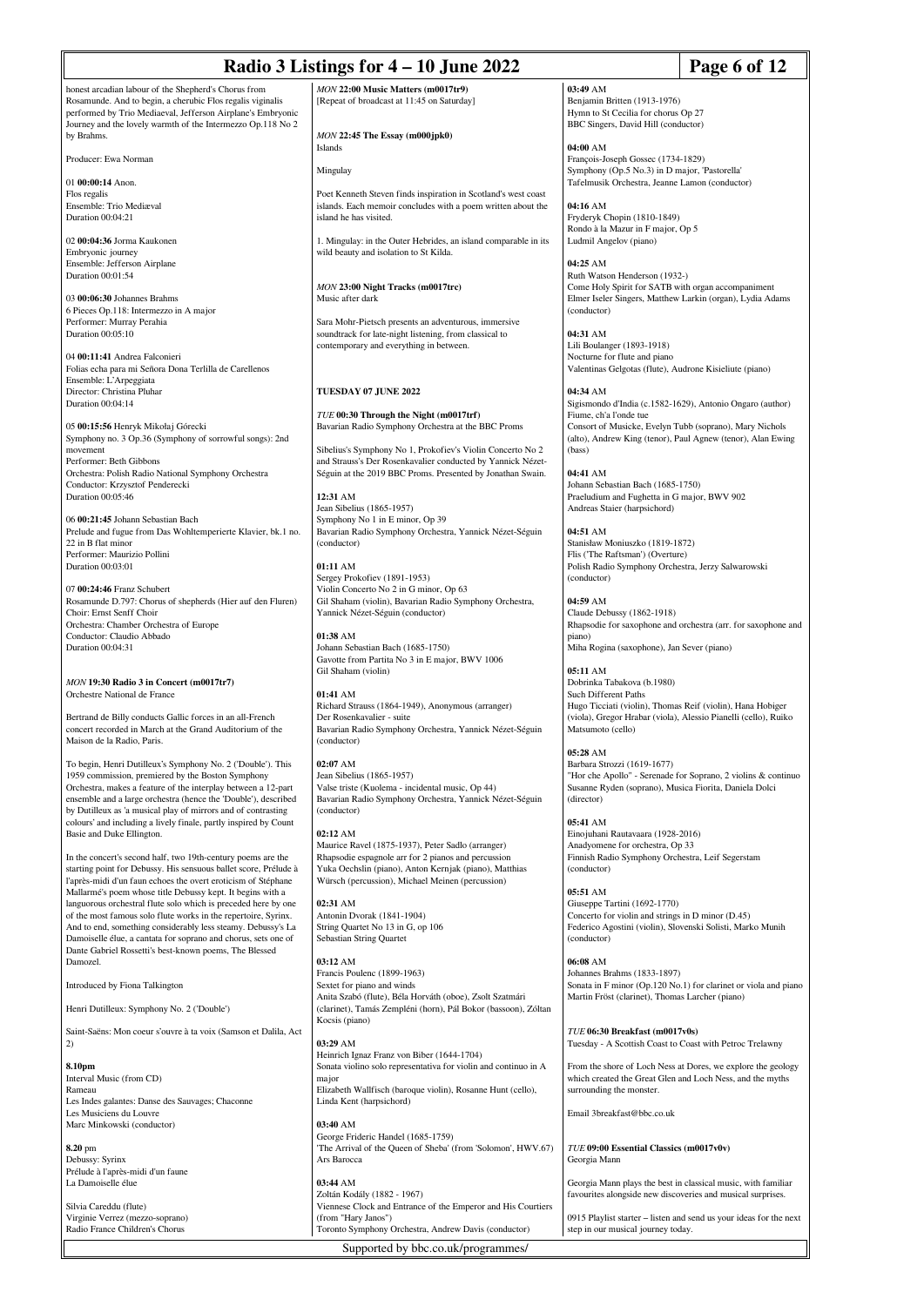| Radio 3 Listings for 4 - 10 June 2022                                                                                                                                                                                                                                                                                        | Page 6 of 12                                                                                                                                                        |                                                                                                                                                                            |  |
|------------------------------------------------------------------------------------------------------------------------------------------------------------------------------------------------------------------------------------------------------------------------------------------------------------------------------|---------------------------------------------------------------------------------------------------------------------------------------------------------------------|----------------------------------------------------------------------------------------------------------------------------------------------------------------------------|--|
| honest arcadian labour of the Shepherd's Chorus from<br>Rosamunde. And to begin, a cherubic Flos regalis viginalis<br>performed by Trio Mediaeval, Jefferson Airplane's Embryonic<br>Journey and the lovely warmth of the Intermezzo Op.118 No 2                                                                             | MON 22:00 Music Matters (m0017tr9)<br>[Repeat of broadcast at 11:45 on Saturday]                                                                                    | 03:49 AM<br>Benjamin Britten (1913-1976)<br>Hymn to St Cecilia for chorus Op 27<br>BBC Singers, David Hill (conductor)                                                     |  |
| by Brahms.<br>Producer: Ewa Norman                                                                                                                                                                                                                                                                                           | MON 22:45 The Essay (m000jpk0)<br>Islands                                                                                                                           | 04:00 AM<br>François-Joseph Gossec (1734-1829)                                                                                                                             |  |
| 01 00:00:14 Anon.                                                                                                                                                                                                                                                                                                            | Mingulay                                                                                                                                                            | Symphony (Op.5 No.3) in D major, 'Pastorella'<br>Tafelmusik Orchestra, Jeanne Lamon (conductor)                                                                            |  |
| Flos regalis<br>Ensemble: Trio Mediæval<br>Duration 00:04:21                                                                                                                                                                                                                                                                 | Poet Kenneth Steven finds inspiration in Scotland's west coast<br>islands. Each memoir concludes with a poem written about the<br>island he has visited.            | 04:16 AM<br>Fryderyk Chopin (1810-1849)<br>Rondo à la Mazur in F major, Op 5                                                                                               |  |
| 02 00:04:36 Jorma Kaukonen<br>Embryonic journey<br>Ensemble: Jefferson Airplane<br>Duration 00:01:54                                                                                                                                                                                                                         | 1. Mingulay: in the Outer Hebrides, an island comparable in its<br>wild beauty and isolation to St Kilda.<br>MON 23:00 Night Tracks (m0017trc)                      | Ludmil Angelov (piano)<br>04:25 AM<br>Ruth Watson Henderson (1932-)<br>Come Holy Spirit for SATB with organ accompaniment                                                  |  |
| 03 00:06:30 Johannes Brahms<br>6 Pieces Op.118: Intermezzo in A major<br>Performer: Murray Perahia                                                                                                                                                                                                                           | Music after dark<br>Sara Mohr-Pietsch presents an adventurous, immersive                                                                                            | Elmer Iseler Singers, Matthew Larkin (organ), Lydia Adams<br>(conductor)                                                                                                   |  |
| Duration 00:05:10<br>04 00:11:41 Andrea Falconieri<br>Folias echa para mi Señora Dona Terlilla de Carellenos<br>Ensemble: L'Arpeggiata                                                                                                                                                                                       | soundtrack for late-night listening, from classical to<br>contemporary and everything in between.                                                                   | 04:31 AM<br>Lili Boulanger (1893-1918)<br>Nocturne for flute and piano<br>Valentinas Gelgotas (flute), Audrone Kisieliute (piano)                                          |  |
| Director: Christina Pluhar<br>Duration 00:04:14                                                                                                                                                                                                                                                                              | TUESDAY 07 JUNE 2022<br>TUE 00:30 Through the Night (m0017trf)                                                                                                      | 04:34 AM<br>Sigismondo d'India (c.1582-1629), Antonio Ongaro (author)<br>Fiume, ch'a l'onde tue                                                                            |  |
| 05 00:15:56 Henryk Mikołaj Górecki<br>Symphony no. 3 Op.36 (Symphony of sorrowful songs): 2nd<br>movement                                                                                                                                                                                                                    | Bavarian Radio Symphony Orchestra at the BBC Proms<br>Sibelius's Symphony No 1, Prokofiev's Violin Concerto No 2                                                    | Consort of Musicke, Evelyn Tubb (soprano), Mary Nichols<br>(alto), Andrew King (tenor), Paul Agnew (tenor), Alan Ewing<br>(bass)                                           |  |
| Performer: Beth Gibbons<br>Orchestra: Polish Radio National Symphony Orchestra<br>Conductor: Krzysztof Penderecki<br>Duration 00:05:46                                                                                                                                                                                       | and Strauss's Der Rosenkavalier conducted by Yannick Nézet-<br>Séguin at the 2019 BBC Proms. Presented by Jonathan Swain.<br>12:31 AM<br>Jean Sibelius (1865-1957)  | 04:41 AM<br>Johann Sebastian Bach (1685-1750)<br>Praeludium and Fughetta in G major, BWV 902<br>Andreas Staier (harpsichord)                                               |  |
| 06 00:21:45 Johann Sebastian Bach<br>Prelude and fugue from Das Wohltemperierte Klavier, bk.1 no.<br>22 in B flat minor<br>Performer: Maurizio Pollini                                                                                                                                                                       | Symphony No 1 in E minor, Op 39<br>Bavarian Radio Symphony Orchestra, Yannick Nézet-Séguin<br>(conductor)                                                           | 04:51 AM<br>Stanisław Moniuszko (1819-1872)<br>Flis ('The Raftsman') (Overture)                                                                                            |  |
| Duration 00:03:01<br>07 00:24:46 Franz Schubert<br>Rosamunde D.797: Chorus of shepherds (Hier auf den Fluren)                                                                                                                                                                                                                | 01:11 AM<br>Sergey Prokofiev (1891-1953)<br>Violin Concerto No 2 in G minor, Op 63<br>Gil Shaham (violin), Bavarian Radio Symphony Orchestra,                       | Polish Radio Symphony Orchestra, Jerzy Salwarowski<br>(conductor)<br>04:59 AM                                                                                              |  |
| Choir: Ernst Senff Choir<br>Orchestra: Chamber Orchestra of Europe<br>Conductor: Claudio Abbado                                                                                                                                                                                                                              | Yannick Nézet-Séguin (conductor)<br>01:38 AM                                                                                                                        | Claude Debussy (1862-1918)<br>Rhapsodie for saxophone and orchestra (arr. for saxophone and<br>piano)                                                                      |  |
| Duration 00:04:31<br>MON 19:30 Radio 3 in Concert (m0017tr7)                                                                                                                                                                                                                                                                 | Johann Sebastian Bach (1685-1750)<br>Gavotte from Partita No 3 in E major, BWV 1006<br>Gil Shaham (violin)                                                          | Miha Rogina (saxophone), Jan Sever (piano)<br>05:11 AM<br>Dobrinka Tabakova (b.1980)                                                                                       |  |
| Orchestre National de France<br>Bertrand de Billy conducts Gallic forces in an all-French<br>concert recorded in March at the Grand Auditorium of the                                                                                                                                                                        | 01:41 AM<br>Richard Strauss (1864-1949), Anonymous (arranger)<br>Der Rosenkavalier - suite<br>Bavarian Radio Symphony Orchestra, Yannick Nézet-Séguin               | Such Different Paths<br>Hugo Ticciati (violin), Thomas Reif (violin), Hana Hobiger<br>(viola), Gregor Hrabar (viola), Alessio Pianelli (cello), Ruiko<br>Matsumoto (cello) |  |
| Maison de la Radio, Paris.<br>To begin, Henri Dutilleux's Symphony No. 2 ('Double'). This<br>1959 commission, premiered by the Boston Symphony                                                                                                                                                                               | (conductor)<br>$02:07$ AM<br>Jean Sibelius (1865-1957)                                                                                                              | 05:28 AM<br>Barbara Strozzi (1619-1677)<br>"Hor che Apollo" - Serenade for Soprano, 2 violins & continuo                                                                   |  |
| Orchestra, makes a feature of the interplay between a 12-part<br>ensemble and a large orchestra (hence the 'Double'), described<br>by Dutilleux as 'a musical play of mirrors and of contrasting<br>colours' and including a lively finale, partly inspired by Count                                                         | Valse triste (Kuolema - incidental music, Op 44)<br>Bavarian Radio Symphony Orchestra, Yannick Nézet-Séguin<br>(conductor)                                          | Susanne Ryden (soprano), Musica Fiorita, Daniela Dolci<br>(director)<br>05:41 AM                                                                                           |  |
| Basie and Duke Ellington.<br>In the concert's second half, two 19th-century poems are the                                                                                                                                                                                                                                    | $02:12$ AM<br>Maurice Ravel (1875-1937), Peter Sadlo (arranger)<br>Rhapsodie espagnole arr for 2 pianos and percussion                                              | Einojuhani Rautavaara (1928-2016)<br>Anadyomene for orchestra, Op 33<br>Finnish Radio Symphony Orchestra, Leif Segerstam                                                   |  |
| starting point for Debussy. His sensuous ballet score, Prélude à<br>l'après-midi d'un faun echoes the overt eroticism of Stéphane<br>Mallarmé's poem whose title Debussy kept. It begins with a                                                                                                                              | Yuka Oechslin (piano), Anton Kernjak (piano), Matthias<br>Würsch (percussion), Michael Meinen (percussion)                                                          | (conductor)<br>05:51 AM                                                                                                                                                    |  |
| languorous orchestral flute solo which is preceded here by one<br>of the most famous solo flute works in the repertoire, Syrinx.<br>And to end, something considerably less steamy. Debussy's La<br>Damoiselle élue, a cantata for soprano and chorus, sets one of<br>Dante Gabriel Rossetti's best-known poems, The Blessed | 02:31 AM<br>Antonin Dvorak (1841-1904)<br>String Quartet No 13 in G, op 106<br>Sebastian String Quartet                                                             | Giuseppe Tartini (1692-1770)<br>Concerto for violin and strings in D minor (D.45)<br>Federico Agostini (violin), Slovenski Solisti, Marko Munih<br>(conductor)             |  |
| Damozel.<br>Introduced by Fiona Talkington                                                                                                                                                                                                                                                                                   | 03:12 AM<br>Francis Poulenc (1899-1963)<br>Sextet for piano and winds                                                                                               | 06:08 AM<br>Johannes Brahms (1833-1897)<br>Sonata in F minor (Op.120 No.1) for clarinet or viola and piano                                                                 |  |
| Henri Dutilleux: Symphony No. 2 ('Double')                                                                                                                                                                                                                                                                                   | Anita Szabó (flute), Béla Horváth (oboe), Zsolt Szatmári<br>(clarinet), Tamás Zempléni (horn), Pál Bokor (bassoon), Zóltan<br>Kocsis (piano)                        | Martin Fröst (clarinet), Thomas Larcher (piano)                                                                                                                            |  |
| Saint-Saëns: Mon coeur s'ouvre à ta voix (Samson et Dalila, Act<br>2)                                                                                                                                                                                                                                                        | 03:29 AM<br>Heinrich Ignaz Franz von Biber (1644-1704)                                                                                                              | TUE 06:30 Breakfast (m0017v0s)<br>Tuesday - A Scottish Coast to Coast with Petroc Trelawny                                                                                 |  |
| 8.10pm<br>Interval Music (from CD)<br>Rameau<br>Les Indes galantes: Danse des Sauvages; Chaconne                                                                                                                                                                                                                             | Sonata violino solo representativa for violin and continuo in A<br>major<br>Elizabeth Wallfisch (baroque violin), Rosanne Hunt (cello),<br>Linda Kent (harpsichord) | From the shore of Loch Ness at Dores, we explore the geology<br>which created the Great Glen and Loch Ness, and the myths<br>surrounding the monster.                      |  |
| Les Musiciens du Louvre<br>Marc Minkowski (conductor)                                                                                                                                                                                                                                                                        | 03:40 AM<br>George Frideric Handel (1685-1759)                                                                                                                      | Email 3breakfast@bbc.co.uk                                                                                                                                                 |  |
| $8.20 \text{ pm}$<br>Debussy: Syrinx<br>Prélude à l'après-midi d'un faune<br>La Damoiselle élue                                                                                                                                                                                                                              | 'The Arrival of the Queen of Sheba' (from 'Solomon', HWV.67)<br>Ars Barocca<br>03:44 AM                                                                             | TUE 09:00 Essential Classics (m0017v0v)<br>Georgia Mann<br>Georgia Mann plays the best in classical music, with familiar                                                   |  |
| Silvia Careddu (flute)<br>Virginie Verrez (mezzo-soprano)                                                                                                                                                                                                                                                                    | Zoltán Kodály (1882 - 1967)<br>Viennese Clock and Entrance of the Emperor and His Courtiers<br>(from "Hary Janos")                                                  | favourites alongside new discoveries and musical surprises.<br>0915 Playlist starter - listen and send us your ideas for the next                                          |  |
| Radio France Children's Chorus                                                                                                                                                                                                                                                                                               | Toronto Symphony Orchestra, Andrew Davis (conductor)                                                                                                                | step in our musical journey today.                                                                                                                                         |  |
| Supported by bbc.co.uk/programmes/                                                                                                                                                                                                                                                                                           |                                                                                                                                                                     |                                                                                                                                                                            |  |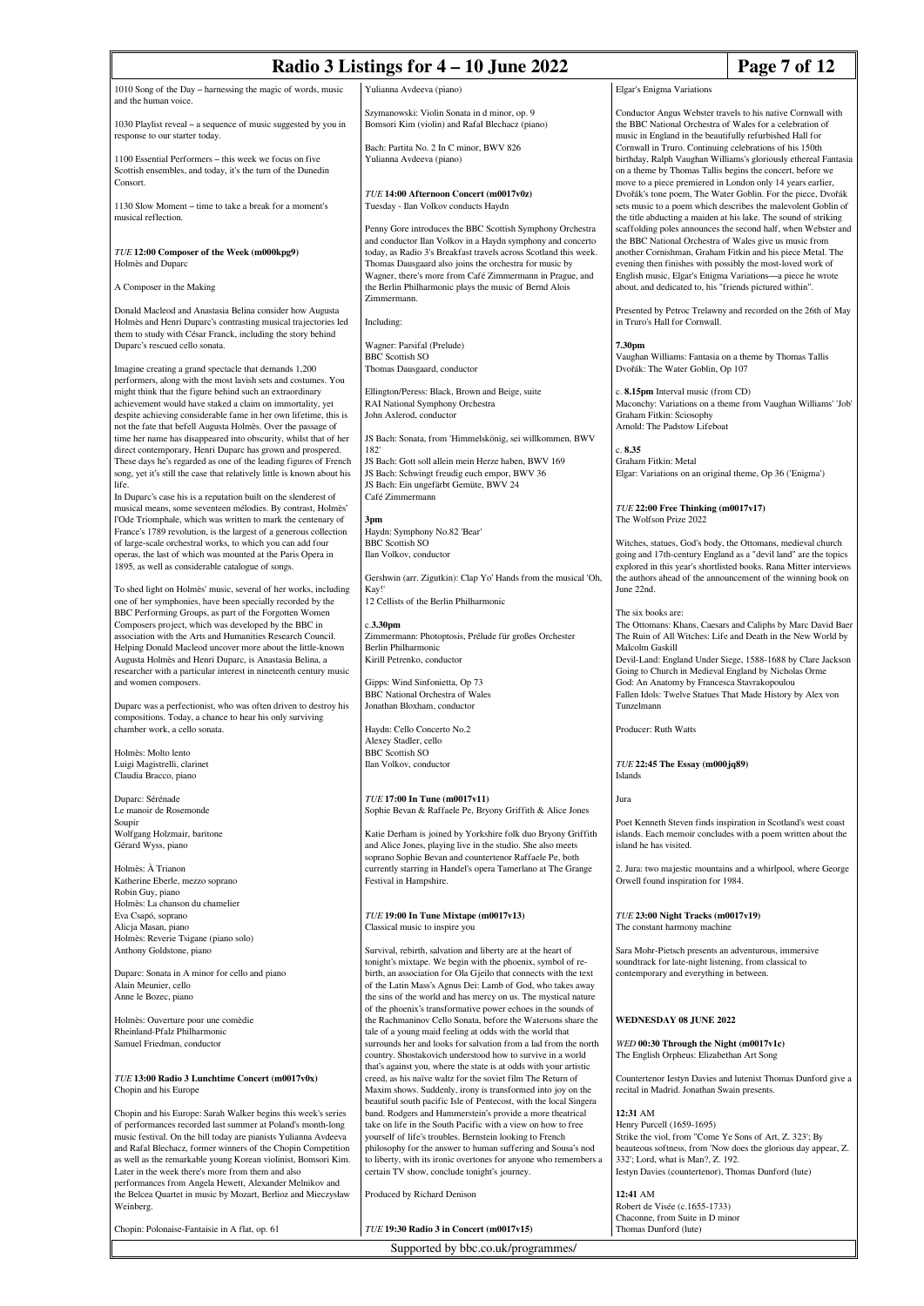| Radio 3 Listings for $4 - 10$ June 2022                                                                                                                                                                                     |                                                                                                                                                                                                                                                                      |                                                                                                                                                                                                                                                                                                                  | Page 7 of 12                                                                                                                                                                                         |
|-----------------------------------------------------------------------------------------------------------------------------------------------------------------------------------------------------------------------------|----------------------------------------------------------------------------------------------------------------------------------------------------------------------------------------------------------------------------------------------------------------------|------------------------------------------------------------------------------------------------------------------------------------------------------------------------------------------------------------------------------------------------------------------------------------------------------------------|------------------------------------------------------------------------------------------------------------------------------------------------------------------------------------------------------|
| 1010 Song of the Day - harnessing the magic of words, music<br>and the human voice.                                                                                                                                         | Yulianna Avdeeva (piano)                                                                                                                                                                                                                                             | Elgar's Enigma Variations                                                                                                                                                                                                                                                                                        |                                                                                                                                                                                                      |
| 1030 Playlist reveal - a sequence of music suggested by you in<br>response to our starter today.                                                                                                                            | Szymanowski: Violin Sonata in d minor, op. 9<br>Bomsori Kim (violin) and Rafał Blechacz (piano)<br>Bach: Partita No. 2 In C minor, BWV 826                                                                                                                           | Conductor Angus Webster travels to his native Cornwall with<br>the BBC National Orchestra of Wales for a celebration of<br>music in England in the beautifully refurbished Hall for<br>Cornwall in Truro. Continuing celebrations of his 150th                                                                   |                                                                                                                                                                                                      |
| 1100 Essential Performers - this week we focus on five<br>Scottish ensembles, and today, it's the turn of the Dunedin<br>Consort.                                                                                           | Yulianna Avdeeva (piano)                                                                                                                                                                                                                                             | on a theme by Thomas Tallis begins the concert, before we<br>move to a piece premiered in London only 14 years earlier,                                                                                                                                                                                          | birthday, Ralph Vaughan Williams's gloriously ethereal Fantasia                                                                                                                                      |
| 1130 Slow Moment – time to take a break for a moment's<br>musical reflection.                                                                                                                                               | TUE 14:00 Afternoon Concert (m0017v0z)<br>Tuesday - Ilan Volkov conducts Haydn<br>Penny Gore introduces the BBC Scottish Symphony Orchestra                                                                                                                          |                                                                                                                                                                                                                                                                                                                  | Dvořák's tone poem, The Water Goblin. For the piece, Dvořák<br>sets music to a poem which describes the malevolent Goblin of<br>the title abducting a maiden at his lake. The sound of striking      |
| TUE 12:00 Composer of the Week (m000kpg9)<br>Holmès and Duparc                                                                                                                                                              | and conductor Ilan Volkov in a Haydn symphony and concerto<br>today, as Radio 3's Breakfast travels across Scotland this week.<br>Thomas Dausgaard also joins the orchestra for music by<br>Wagner, there's more from Café Zimmermann in Prague, and                 | scaffolding poles announces the second half, when Webster and<br>the BBC National Orchestra of Wales give us music from<br>another Cornishman, Graham Fitkin and his piece Metal. The<br>evening then finishes with possibly the most-loved work of<br>English music, Elgar's Enigma Variations-a piece he wrote |                                                                                                                                                                                                      |
| A Composer in the Making                                                                                                                                                                                                    | the Berlin Philharmonic plays the music of Bernd Alois<br>Zimmermann.                                                                                                                                                                                                | about, and dedicated to, his "friends pictured within".                                                                                                                                                                                                                                                          |                                                                                                                                                                                                      |
| Donald Macleod and Anastasia Belina consider how Augusta<br>Holmès and Henri Duparc's contrasting musical trajectories led<br>them to study with César Franck, including the story behind<br>Duparc's rescued cello sonata. | Including:<br>Wagner: Parsifal (Prelude)                                                                                                                                                                                                                             | Presented by Petroc Trelawny and recorded on the 26th of May<br>in Truro's Hall for Cornwall.<br>7.30pm                                                                                                                                                                                                          |                                                                                                                                                                                                      |
| Imagine creating a grand spectacle that demands 1,200                                                                                                                                                                       | <b>BBC</b> Scottish SO<br>Thomas Dausgaard, conductor                                                                                                                                                                                                                | Vaughan Williams: Fantasia on a theme by Thomas Tallis<br>Dvořák: The Water Goblin, Op 107                                                                                                                                                                                                                       |                                                                                                                                                                                                      |
| performers, along with the most lavish sets and costumes. You<br>might think that the figure behind such an extraordinary                                                                                                   | Ellington/Peress: Black, Brown and Beige, suite                                                                                                                                                                                                                      | c. 8.15pm Interval music (from CD)                                                                                                                                                                                                                                                                               |                                                                                                                                                                                                      |
| achievement would have staked a claim on immortality, yet<br>despite achieving considerable fame in her own lifetime, this is                                                                                               | RAI National Symphony Orchestra<br>John Axlerod, conductor                                                                                                                                                                                                           | Graham Fitkin: Sciosophy                                                                                                                                                                                                                                                                                         | Maconchy: Variations on a theme from Vaughan Williams' 'Job'                                                                                                                                         |
| not the fate that befell Augusta Holmès. Over the passage of<br>time her name has disappeared into obscurity, whilst that of her<br>direct contemporary, Henri Duparc has grown and prospered.                              | JS Bach: Sonata, from 'Himmelskönig, sei willkommen, BWV<br>182'                                                                                                                                                                                                     | Arnold: The Padstow Lifeboat<br>c. 8.35                                                                                                                                                                                                                                                                          |                                                                                                                                                                                                      |
| These days he's regarded as one of the leading figures of French<br>song, yet it's still the case that relatively little is known about his<br>life.                                                                        | JS Bach: Gott soll allein mein Herze haben, BWV 169<br>JS Bach: Schwingt freudig euch empor, BWV 36<br>JS Bach: Ein ungefärbt Gemüte, BWV 24                                                                                                                         | Graham Fitkin: Metal<br>Elgar: Variations on an original theme, Op 36 ('Enigma')                                                                                                                                                                                                                                 |                                                                                                                                                                                                      |
| In Duparc's case his is a reputation built on the slenderest of<br>musical means, some seventeen mélodies. By contrast, Holmès'<br>l'Ode Triomphale, which was written to mark the centenary of                             | Café Zimmermann<br>3pm                                                                                                                                                                                                                                               | TUE 22:00 Free Thinking (m0017v17)<br>The Wolfson Prize 2022                                                                                                                                                                                                                                                     |                                                                                                                                                                                                      |
| France's 1789 revolution, is the largest of a generous collection<br>of large-scale orchestral works, to which you can add four                                                                                             | Haydn: Symphony No.82 'Bear'<br><b>BBC</b> Scottish SO                                                                                                                                                                                                               |                                                                                                                                                                                                                                                                                                                  | Witches, statues, God's body, the Ottomans, medieval church                                                                                                                                          |
| operas, the last of which was mounted at the Paris Opera in<br>1895, as well as considerable catalogue of songs.                                                                                                            | Ilan Volkov, conductor<br>Gershwin (arr. Zigutkin): Clap Yo' Hands from the musical 'Oh,                                                                                                                                                                             |                                                                                                                                                                                                                                                                                                                  | going and 17th-century England as a "devil land" are the topics<br>explored in this year's shortlisted books. Rana Mitter interviews<br>the authors ahead of the announcement of the winning book on |
| To shed light on Holmès' music, several of her works, including<br>one of her symphonies, have been specially recorded by the                                                                                               | Kay!'<br>12 Cellists of the Berlin Philharmonic                                                                                                                                                                                                                      | June 22nd.                                                                                                                                                                                                                                                                                                       |                                                                                                                                                                                                      |
| BBC Performing Groups, as part of the Forgotten Women<br>Composers project, which was developed by the BBC in<br>association with the Arts and Humanities Research Council.                                                 | c.3.30 <sub>pm</sub><br>Zimmermann: Photoptosis, Prélude für großes Orchester                                                                                                                                                                                        | The six books are:<br>The Ottomans: Khans, Caesars and Caliphs by Marc David Baer<br>The Ruin of All Witches: Life and Death in the New World by                                                                                                                                                                 |                                                                                                                                                                                                      |
| Helping Donald Macleod uncover more about the little-known<br>Augusta Holmès and Henri Duparc, is Anastasia Belina, a                                                                                                       | Berlin Philharmonic<br>Kirill Petrenko, conductor                                                                                                                                                                                                                    | Malcolm Gaskill                                                                                                                                                                                                                                                                                                  | Devil-Land: England Under Siege, 1588-1688 by Clare Jackson                                                                                                                                          |
| researcher with a particular interest in nineteenth century music<br>and women composers.                                                                                                                                   | Gipps: Wind Sinfonietta, Op 73<br><b>BBC</b> National Orchestra of Wales                                                                                                                                                                                             | Going to Church in Medieval England by Nicholas Orme<br>God: An Anatomy by Francesca Stavrakopoulou<br>Fallen Idols: Twelve Statues That Made History by Alex von                                                                                                                                                |                                                                                                                                                                                                      |
| Duparc was a perfectionist, who was often driven to destroy his<br>compositions. Today, a chance to hear his only surviving<br>chamber work, a cello sonata.                                                                | Jonathan Bloxham, conductor<br>Haydn: Cello Concerto No.2                                                                                                                                                                                                            | Tunzelmann                                                                                                                                                                                                                                                                                                       |                                                                                                                                                                                                      |
| Holmès: Molto lento                                                                                                                                                                                                         | Alexey Stadler, cello<br><b>BBC</b> Scottish SO                                                                                                                                                                                                                      | Producer: Ruth Watts                                                                                                                                                                                                                                                                                             |                                                                                                                                                                                                      |
| Luigi Magistrelli, clarinet<br>Claudia Bracco, piano                                                                                                                                                                        | Ilan Volkov, conductor                                                                                                                                                                                                                                               | TUE 22:45 The Essay (m000jq89)<br><b>Islands</b>                                                                                                                                                                                                                                                                 |                                                                                                                                                                                                      |
| Duparc: Sérénade<br>Le manoir de Rosemonde                                                                                                                                                                                  | TUE 17:00 In Tune (m0017v11)<br>Sophie Bevan & Raffaele Pe, Bryony Griffith & Alice Jones                                                                                                                                                                            | Jura                                                                                                                                                                                                                                                                                                             |                                                                                                                                                                                                      |
| Soupir<br>Wolfgang Holzmair, baritone<br>Gérard Wyss, piano                                                                                                                                                                 | Katie Derham is joined by Yorkshire folk duo Bryony Griffith<br>and Alice Jones, playing live in the studio. She also meets<br>soprano Sophie Bevan and countertenor Raffaele Pe, both                                                                               | island he has visited.                                                                                                                                                                                                                                                                                           | Poet Kenneth Steven finds inspiration in Scotland's west coast<br>islands. Each memoir concludes with a poem written about the                                                                       |
| Holmès: À Trianon<br>Katherine Eberle, mezzo soprano<br>Robin Guy, piano                                                                                                                                                    | currently starring in Handel's opera Tamerlano at The Grange<br>Festival in Hampshire.                                                                                                                                                                               | Orwell found inspiration for 1984.                                                                                                                                                                                                                                                                               | 2. Jura: two majestic mountains and a whirlpool, where George                                                                                                                                        |
| Holmès: La chanson du chamelier<br>Eva Csapó, soprano<br>Alicja Masan, piano                                                                                                                                                | TUE 19:00 In Tune Mixtape (m0017v13)<br>Classical music to inspire you                                                                                                                                                                                               | TUE 23:00 Night Tracks (m0017v19)<br>The constant harmony machine                                                                                                                                                                                                                                                |                                                                                                                                                                                                      |
| Holmès: Reverie Tsigane (piano solo)<br>Anthony Goldstone, piano                                                                                                                                                            | Survival, rebirth, salvation and liberty are at the heart of                                                                                                                                                                                                         | Sara Mohr-Pietsch presents an adventurous, immersive                                                                                                                                                                                                                                                             |                                                                                                                                                                                                      |
| Duparc: Sonata in A minor for cello and piano<br>Alain Meunier, cello                                                                                                                                                       | tonight's mixtape. We begin with the phoenix, symbol of re-<br>birth, an association for Ola Gjeilo that connects with the text<br>of the Latin Mass's Agnus Dei: Lamb of God, who takes away                                                                        | soundtrack for late-night listening, from classical to<br>contemporary and everything in between.                                                                                                                                                                                                                |                                                                                                                                                                                                      |
| Anne le Bozec, piano                                                                                                                                                                                                        | the sins of the world and has mercy on us. The mystical nature<br>of the phoenix's transformative power echoes in the sounds of                                                                                                                                      |                                                                                                                                                                                                                                                                                                                  |                                                                                                                                                                                                      |
| Holmès: Ouverture pour une comèdie<br>Rheinland-Pfalz Philharmonic                                                                                                                                                          | the Rachmaninov Cello Sonata, before the Watersons share the<br>tale of a young maid feeling at odds with the world that                                                                                                                                             | <b>WEDNESDAY 08 JUNE 2022</b>                                                                                                                                                                                                                                                                                    |                                                                                                                                                                                                      |
| Samuel Friedman, conductor                                                                                                                                                                                                  | surrounds her and looks for salvation from a lad from the north<br>country. Shostakovich understood how to survive in a world                                                                                                                                        | WED 00:30 Through the Night (m0017v1c)<br>The English Orpheus: Elizabethan Art Song                                                                                                                                                                                                                              |                                                                                                                                                                                                      |
| TUE 13:00 Radio 3 Lunchtime Concert (m0017v0x)<br>Chopin and his Europe                                                                                                                                                     | that's against you, where the state is at odds with your artistic<br>creed, as his naïve waltz for the soviet film The Return of<br>Maxim shows. Suddenly, irony is transformed into joy on the<br>beautiful south pacific Isle of Pentecost, with the local Singera | Countertenor Iestyn Davies and lutenist Thomas Dunford give a<br>recital in Madrid. Jonathan Swain presents.                                                                                                                                                                                                     |                                                                                                                                                                                                      |
| Chopin and his Europe: Sarah Walker begins this week's series                                                                                                                                                               | band. Rodgers and Hammerstein's provide a more theatrical                                                                                                                                                                                                            | 12:31 AM                                                                                                                                                                                                                                                                                                         |                                                                                                                                                                                                      |
| of performances recorded last summer at Poland's month-long<br>music festival. On the bill today are pianists Yulianna Avdeeva                                                                                              | take on life in the South Pacific with a view on how to free<br>yourself of life's troubles. Bernstein looking to French                                                                                                                                             | Henry Purcell (1659-1695)<br>Strike the viol, from "Come Ye Sons of Art, Z. 323'; By                                                                                                                                                                                                                             |                                                                                                                                                                                                      |
| and Rafal Blechacz, former winners of the Chopin Competition                                                                                                                                                                | philosophy for the answer to human suffering and Sousa's nod                                                                                                                                                                                                         |                                                                                                                                                                                                                                                                                                                  | beauteous softness, from 'Now does the glorious day appear, Z.                                                                                                                                       |
| as well as the remarkable young Korean violinist, Bomsori Kim.                                                                                                                                                              | to liberty, with its ironic overtones for anyone who remembers a                                                                                                                                                                                                     | 332'; Lord, what is Man?, Z. 192.                                                                                                                                                                                                                                                                                |                                                                                                                                                                                                      |
| Later in the week there's more from them and also<br>performances from Angela Hewett, Alexander Melnikov and                                                                                                                | certain TV show, conclude tonight's journey.                                                                                                                                                                                                                         | Iestyn Davies (countertenor), Thomas Dunford (lute)                                                                                                                                                                                                                                                              |                                                                                                                                                                                                      |
| the Belcea Quartet in music by Mozart, Berlioz and Mieczysław<br>Weinberg.                                                                                                                                                  | Produced by Richard Denison                                                                                                                                                                                                                                          | 12:41 AM<br>Robert de Visée (c.1655-1733)                                                                                                                                                                                                                                                                        |                                                                                                                                                                                                      |
| Chopin: Polonaise-Fantaisie in A flat, op. 61                                                                                                                                                                               | TUE 19:30 Radio 3 in Concert (m0017v15)                                                                                                                                                                                                                              | Chaconne, from Suite in D minor<br>Thomas Dunford (lute)                                                                                                                                                                                                                                                         |                                                                                                                                                                                                      |

Supported by bbc.co.uk/programmes/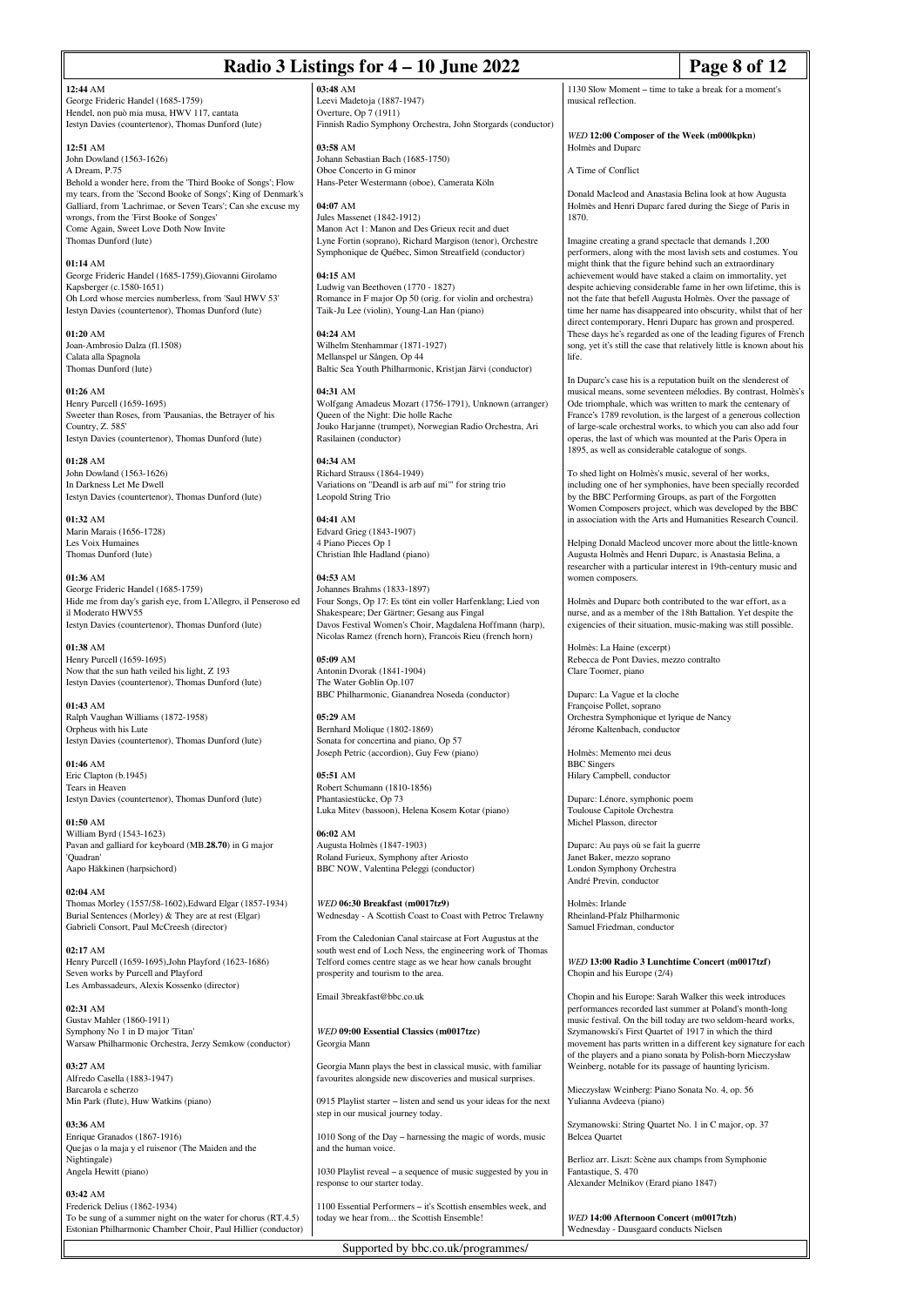### **12:44** AM

George Frideric Handel (1685-1759) Hendel, non può mia musa, HWV 117, cantata Iestyn Davies (countertenor), Thomas Dunford (lute)

**12:51** AM John Dowland (1563-1626) A Dream, P.75 Behold a wonder here, from the 'Third Booke of Songs'; Flow my tears, from the 'Second Booke of Songs'; King of Denmark's Galliard, from 'Lachrimae, or Seven Tears'; Can she excuse my wrongs, from the 'First Booke of Songes' Come Again, Sweet Love Doth Now Invite Thomas Dunford (lute)

**01:14** AM George Frideric Handel (1685-1759),Giovanni Girolamo Kapsberger (c.1580-1651) Oh Lord whose mercies numberless, from 'Saul HWV 53' Iestyn Davies (countertenor), Thomas Dunford (lute)

**01:20** AM Joan-Ambrosio Dalza (fl.1508) Calata alla Spagnola Thomas Dunford (lute)

**01:26** AM Henry Purcell (1659-1695) Sweeter than Roses, from 'Pausanias, the Betrayer of his Country, Z. 585' Iestyn Davies (countertenor), Thomas Dunford (lute)

**01:28** AM John Dowland (1563-1626) In Darkness Let Me Dwell Iestyn Davies (countertenor), Thomas Dunford (lute)

**01:32** AM Marin Marais (1656-1728) Les Voix Humaine Thomas Dunford (lute)

**01:36** AM George Frideric Handel (1685-1759) Hide me from day's garish eye, from L'Allegro, il Penseroso ed il Moderato HWV55 Iestyn Davies (countertenor), Thomas Dunford (lute)

**01:38** AM Henry Purcell (1659-1695) Now that the sun hath veiled his light, Z 193 Iestyn Davies (countertenor), Thomas Dunford (lute)

**01:43** AM Ralph Vaughan Williams (1872-1958) Orpheus with his Lute Iestyn Davies (countertenor), Thomas Dunford (lute)

**01:46** AM Eric Clapton (b.1945) Tears in Heaven Iestyn Davies (countertenor), Thomas Dunford (lute)

**01:50** AM William Byrd (1543-1623) Pavan and galliard for keyboard (MB.**28.70**) in G major 'Quadran' Aapo Häkkinen (harpsichord)

**02:04** AM Thomas Morley (1557/58-1602),Edward Elgar (1857-1934) Burial Sentences (Morley) & They are at rest (Elgar) Gabrieli Consort, Paul McCreesh (director)

**02:17** AM Henry Purcell (1659-1695),John Playford (1623-1686) Seven works by Purcell and Playford Les Ambassadeurs, Alexis Kossenko (director)

**02:31** AM Gustav Mahler (1860-1911) Symphony No 1 in D major 'Titan' Warsaw Philharmonic Orchestra, Jerzy Semkow (conductor)

**03:27** AM Alfredo Casella (1883-1947) Barcarola e scherzo Min Park (flute), Huw Watkins (piano)

**03:36** AM Enrique Granados (1867-1916) Quejas o la maja y el ruisenor (The Maiden and the Nightingale) Angela Hewitt (piano)

**03:42** AM Frederick Delius (1862-1934) To be sung of a summer night on the water for chorus (RT.4.5) Estonian Philharmonic Chamber Choir, Paul Hillier (conductor)

**03:48** AM Leevi Madetoja (1887-1947) Overture, Op 7 (1911) Finnish Radio Symphony Orchestra, John Storgards (conductor)

**03:58** AM Johann Sebastian Bach (1685-1750) Oboe Concerto in G minor Hans-Peter Westermann (oboe), Camerata Köln

**04:07** AM Jules Massenet (1842-1912) Manon Act 1: Manon and Des Grieux recit and duet Lyne Fortin (soprano), Richard Margison (tenor), Orchestre Symphonique de Québec, Simon Streatfield (conductor)

**04:15** AM Ludwig van Beethoven (1770 - 1827) Romance in F major Op 50 (orig. for violin and orchestra) Taik-Ju Lee (violin), Young-Lan Han (piano)

**04:24** AM Wilhelm Stenhammar (1871-1927) Mellanspel ur Sången, Op 44 Baltic Sea Youth Philharmonic, Kristian Järvi (conductor)

**04:31** AM Wolfgang Amadeus Mozart (1756-1791), Unknown (arranger) Queen of the Night: Die holle Rache Jouko Harjanne (trumpet), Norwegian Radio Orchestra, Ari Rasilainen (conductor)

**04:34** AM Richard Strauss (1864-1949) Variations on "Deandl is arb auf mi'" for string trio Leopold String Trio

**04:41** AM Edvard Grieg (1843-1907) 4 Piano Pieces Op 1 Christian Ihle Hadland (piano)

**04:53** AM Johannes Brahms (1833-1897) Four Songs, Op 17: Es tönt ein voller Harfenklang; Lied von Shakespeare; Der Gärtner; Gesang aus Fingal Davos Festival Women's Choir, Magdalena Hoffmann (harp), Nicolas Ramez (french horn), Francois Rieu (french horn)

**05:09** AM Antonin Dvorak (1841-1904) The Water Goblin Op.107 BBC Philharmonic, Gianandrea Noseda (conductor)

**05:29** AM Bernhard Molique (1802-1869) Sonata for concertina and piano, Op 57 Joseph Petric (accordion), Guy Few (piano)

**05:51** AM Robert Schumann (1810-1856) Phantasiestücke, Op 73 Luka Mitev (bassoon), Helena Kosem Kotar (piano)

**06:02** AM Augusta Holmès (1847-1903) Roland Furieux, Symphony after Ariosto BBC NOW, Valentina Peleggi (conductor)

*WED* **06:30 Breakfast (m0017tz9)** Wednesday - A Scottish Coast to Coast with Petroc Trelawny

From the Caledonian Canal staircase at Fort Augustus at the south west end of Loch Ness, the engineering work of Thomas Telford comes centre stage as we hear how canals brought prosperity and tourism to the area.

Email 3breakfast@bbc.co.uk

*WED* **09:00 Essential Classics (m0017tzc)** Georgia Mann

Georgia Mann plays the best in classical music, with familiar favourites alongside new discoveries and musical surprises.

0915 Playlist starter – listen and send us your ideas for the next step in our musical journey today.

1010 Song of the Day – harnessing the magic of words, music and the human voice.

1030 Playlist reveal – a sequence of music suggested by you in response to our starter today.

1100 Essential Performers – it's Scottish ensembles week, and today we hear from... the Scottish Ensemble!

1130 Slow Moment – time to take a break for a moment's musical reflection.

*WED* **12:00 Composer of the Week (m000kpkn)** Holmès and Duparc

A Time of Conflict

Donald Macleod and Anastasia Belina look at how Augusta Holmès and Henri Duparc fared during the Siege of Paris in 1870.

Imagine creating a grand spectacle that demands 1,200 performers, along with the most lavish sets and costumes. You might think that the figure behind such an extraordinary achievement would have staked a claim on immortality, yet despite achieving considerable fame in her own lifetime, this is not the fate that befell Augusta Holmès. Over the passage of time her name has disappeared into obscurity, whilst that of her direct contemporary, Henri Duparc has grown and prospered. These days he's regarded as one of the leading figures of French song, yet it's still the case that relatively little is known about his life.

In Duparc's case his is a reputation built on the slenderest of musical means, some seventeen mélodies. By contrast, Holmès's Ode triomphale, which was written to mark the centenary of France's 1789 revolution, is the largest of a generous collection of large-scale orchestral works, to which you can also add four operas, the last of which was mounted at the Paris Opera in 1895, as well as considerable catalogue of songs.

To shed light on Holmès's music, several of her works, including one of her symphonies, have been specially recorded by the BBC Performing Groups, as part of the Forgotten Women Composers project, which was developed by the BBC in association with the Arts and Humanities Research Council.

Helping Donald Macleod uncover more about the little-known Augusta Holmès and Henri Duparc, is Anastasia Belina, a researcher with a particular interest in 19th-century music and women composers.

Holmès and Duparc both contributed to the war effort, as a nurse, and as a member of the 18th Battalion. Yet despite the exigencies of their situation, music-making was still possible.

Holmès: La Haine (excerpt) Rebecca de Pont Davies, mezzo contralto Clare Toomer, piano

Duparc: La Vague et la cloche Françoise Pollet, soprano Orchestra Symphonique et lyrique de Nancy Jérome Kaltenbach, conductor

Holmès: Memento mei deus BBC Singers Hilary Campbell, conductor

Duparc: Lénore, symphonic poem Toulouse Capitole Orchestra Michel Plasson, director

Duparc: Au pays où se fait la guerre Janet Baker, mezzo soprano London Symphony Orchestra André Previn, conductor

Holmès: Irlande Rheinland-Pfalz Philharmonic Samuel Friedman, conductor

*WED* **13:00 Radio 3 Lunchtime Concert (m0017tzf)** Chopin and his Europe (2/4)

Chopin and his Europe: Sarah Walker this week introduces performances recorded last summer at Poland's month-long music festival. On the bill today are two seldom-heard works, Szymanowski's First Quartet of 1917 in which the third movement has parts written in a different key signature for each of the players and a piano sonata by Polish-born Mieczysław Weinberg, notable for its passage of haunting lyricism.

Mieczysław Weinberg: Piano Sonata No. 4, op. 56 Yulianna Avdeeva (piano)

Szymanowski: String Quartet No. 1 in C major, op. 37 Belcea Quartet

Berlioz arr. Liszt: Scène aux champs from Symphonie Fantastique, S. 470 Alexander Melnikov (Erard piano 1847)

*WED* **14:00 Afternoon Concert (m0017tzh)** Wednesday - Dausgaard conducts Nielsen

Supported by bbc.co.uk/programmes/

## **Radio 3 Listings for 4 – 10 June 2022 Page 8 of 12**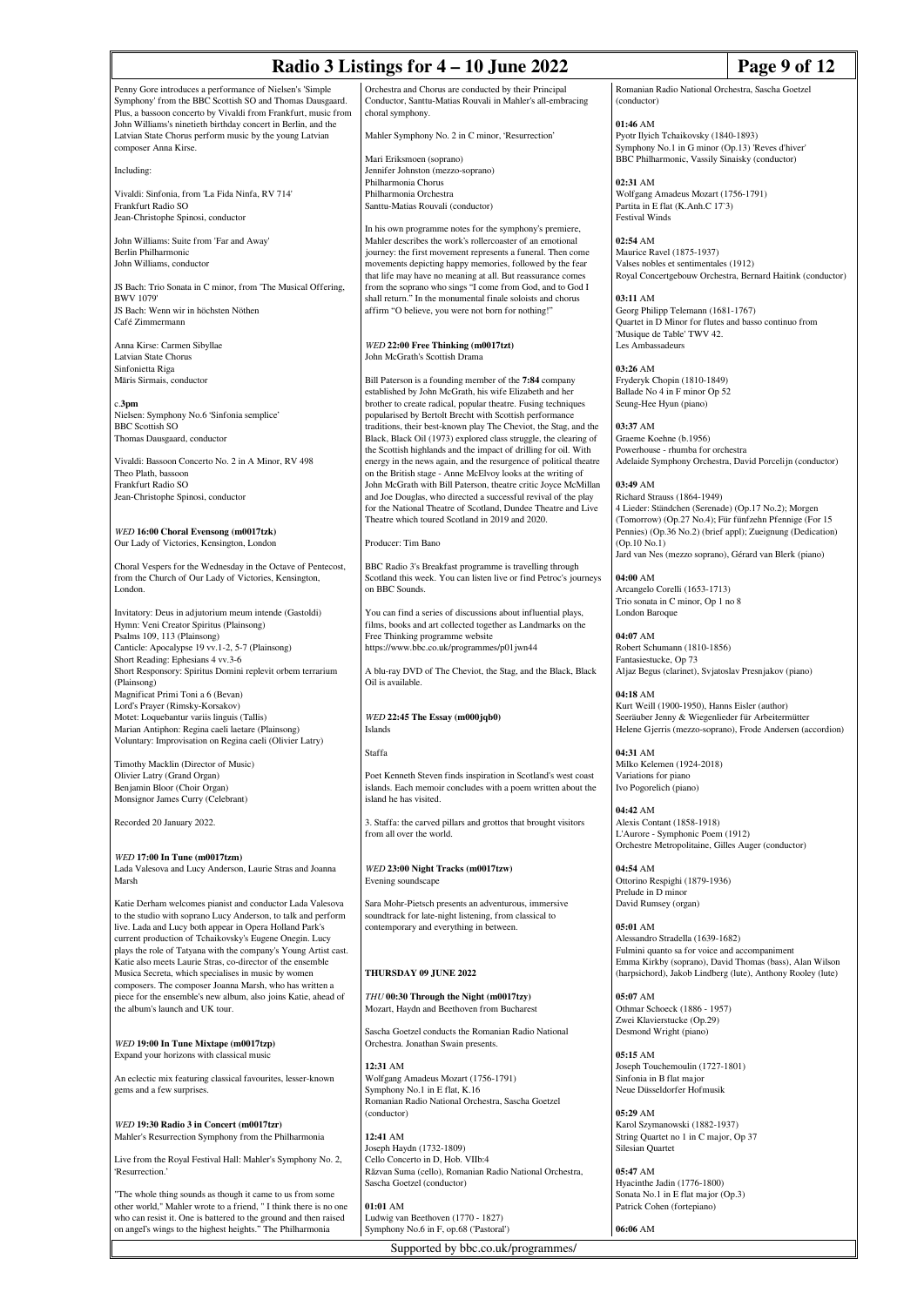| Radio 3 Listings for 4 - 10 June 2022                                                                                                                                                  |                                                                                                                                                                                                                                               |                                                                                                                                                        | Page 9 of 12                                                                                                           |  |
|----------------------------------------------------------------------------------------------------------------------------------------------------------------------------------------|-----------------------------------------------------------------------------------------------------------------------------------------------------------------------------------------------------------------------------------------------|--------------------------------------------------------------------------------------------------------------------------------------------------------|------------------------------------------------------------------------------------------------------------------------|--|
| Penny Gore introduces a performance of Nielsen's 'Simple<br>Symphony' from the BBC Scottish SO and Thomas Dausgaard.<br>Plus, a bassoon concerto by Vivaldi from Frankfurt, music from | Orchestra and Chorus are conducted by their Principal<br>Conductor, Santtu-Matias Rouvali in Mahler's all-embracing<br>choral symphony.                                                                                                       | Romanian Radio National Orchestra, Sascha Goetzel<br>(conductor)                                                                                       |                                                                                                                        |  |
| John Williams's ninetieth birthday concert in Berlin, and the<br>Latvian State Chorus perform music by the young Latvian<br>composer Anna Kirse.                                       | Mahler Symphony No. 2 in C minor, 'Resurrection'<br>Mari Eriksmoen (soprano)                                                                                                                                                                  | 01:46 AM<br>Pyotr Ilyich Tchaikovsky (1840-1893)<br>Symphony No.1 in G minor (Op.13) 'Reves d'hiver'<br>BBC Philharmonic, Vassily Sinaisky (conductor) |                                                                                                                        |  |
| Including:                                                                                                                                                                             | Jennifer Johnston (mezzo-soprano)<br>Philharmonia Chorus                                                                                                                                                                                      | 02:31 AM                                                                                                                                               |                                                                                                                        |  |
| Vivaldi: Sinfonia, from 'La Fida Ninfa, RV 714'<br>Frankfurt Radio SO<br>Jean-Christophe Spinosi, conductor                                                                            | Philharmonia Orchestra<br>Santtu-Matias Rouvali (conductor)                                                                                                                                                                                   | Wolfgang Amadeus Mozart (1756-1791)<br>Partita in E flat (K.Anh.C 17'3)<br>Festival Winds                                                              |                                                                                                                        |  |
| John Williams: Suite from 'Far and Away'                                                                                                                                               | In his own programme notes for the symphony's premiere,<br>Mahler describes the work's rollercoaster of an emotional                                                                                                                          | $02:54$ AM                                                                                                                                             |                                                                                                                        |  |
| Berlin Philharmonic<br>John Williams, conductor                                                                                                                                        | journey: the first movement represents a funeral. Then come<br>movements depicting happy memories, followed by the fear<br>that life may have no meaning at all. But reassurance comes                                                        | Maurice Ravel (1875-1937)<br>Valses nobles et sentimentales (1912)<br>Royal Concertgebouw Orchestra, Bernard Haitink (conductor)                       |                                                                                                                        |  |
| JS Bach: Trio Sonata in C minor, from 'The Musical Offering,<br><b>BWV 1079'</b><br>JS Bach: Wenn wir in höchsten Nöthen                                                               | from the soprano who sings "I come from God, and to God I<br>shall return." In the monumental finale soloists and chorus<br>affirm "O believe, you were not born for nothing!"                                                                | 03:11 AM                                                                                                                                               | Georg Philipp Telemann (1681-1767)                                                                                     |  |
| Café Zimmermann                                                                                                                                                                        |                                                                                                                                                                                                                                               | Quartet in D Minor for flutes and basso continuo from<br>'Musique de Table' TWV 42.                                                                    |                                                                                                                        |  |
| Anna Kirse: Carmen Sibyllae<br>Latvian State Chorus                                                                                                                                    | WED 22:00 Free Thinking (m0017tzt)<br>John McGrath's Scottish Drama                                                                                                                                                                           | Les Ambassadeurs                                                                                                                                       |                                                                                                                        |  |
| Sinfonietta Riga                                                                                                                                                                       |                                                                                                                                                                                                                                               | 03:26 AM                                                                                                                                               |                                                                                                                        |  |
| Māris Sirmais, conductor<br>c.3 <sub>pm</sub>                                                                                                                                          | Bill Paterson is a founding member of the 7:84 company<br>established by John McGrath, his wife Elizabeth and her<br>brother to create radical, popular theatre. Fusing techniques<br>popularised by Bertolt Brecht with Scottish performance | Fryderyk Chopin (1810-1849)<br>Ballade No 4 in F minor Op 52<br>Seung-Hee Hyun (piano)                                                                 |                                                                                                                        |  |
| Nielsen: Symphony No.6 'Sinfonia semplice'<br><b>BBC Scottish SO</b>                                                                                                                   | traditions, their best-known play The Cheviot, the Stag, and the                                                                                                                                                                              | 03:37 AM                                                                                                                                               |                                                                                                                        |  |
| Thomas Dausgaard, conductor                                                                                                                                                            | Black, Black Oil (1973) explored class struggle, the clearing of<br>the Scottish highlands and the impact of drilling for oil. With                                                                                                           | Graeme Koehne (b.1956)<br>Powerhouse - rhumba for orchestra                                                                                            |                                                                                                                        |  |
| Vivaldi: Bassoon Concerto No. 2 in A Minor, RV 498                                                                                                                                     | energy in the news again, and the resurgence of political theatre                                                                                                                                                                             |                                                                                                                                                        | Adelaide Symphony Orchestra, David Porcelijn (conductor)                                                               |  |
| Theo Plath, bassoon<br>Frankfurt Radio SO                                                                                                                                              | on the British stage - Anne McElvoy looks at the writing of<br>John McGrath with Bill Paterson, theatre critic Joyce McMillan                                                                                                                 | 03:49 AM                                                                                                                                               |                                                                                                                        |  |
| Jean-Christophe Spinosi, conductor                                                                                                                                                     | and Joe Douglas, who directed a successful revival of the play<br>for the National Theatre of Scotland, Dundee Theatre and Live<br>Theatre which toured Scotland in 2019 and 2020.                                                            | Richard Strauss (1864-1949)<br>4 Lieder: Ständchen (Serenade) (Op.17 No.2); Morgen<br>(Tomorrow) (Op.27 No.4); Für fünfzehn Pfennige (For 15           |                                                                                                                        |  |
| WED 16:00 Choral Evensong (m0017tzk)<br>Our Lady of Victories, Kensington, London                                                                                                      | Producer: Tim Bano                                                                                                                                                                                                                            | $(Op.10\ No.1)$                                                                                                                                        | Pennies) (Op.36 No.2) (brief appl); Zueignung (Dedication)                                                             |  |
| Choral Vespers for the Wednesday in the Octave of Pentecost,<br>from the Church of Our Lady of Victories, Kensington,<br>London.                                                       | BBC Radio 3's Breakfast programme is travelling through<br>Scotland this week. You can listen live or find Petroc's journeys<br>on BBC Sounds.                                                                                                | Jard van Nes (mezzo soprano), Gérard van Blerk (piano)<br>04:00 AM<br>Arcangelo Corelli (1653-1713)                                                    |                                                                                                                        |  |
| Invitatory: Deus in adjutorium meum intende (Gastoldi)                                                                                                                                 | You can find a series of discussions about influential plays,                                                                                                                                                                                 | Trio sonata in C minor, Op 1 no 8<br>London Baroque                                                                                                    |                                                                                                                        |  |
| Hymn: Veni Creator Spiritus (Plainsong)<br>Psalms 109, 113 (Plainsong)<br>Canticle: Apocalypse 19 vv.1-2, 5-7 (Plainsong)                                                              | films, books and art collected together as Landmarks on the<br>Free Thinking programme website<br>https://www.bbc.co.uk/programmes/p01jwn44                                                                                                   | 04:07 AM<br>Robert Schumann (1810-1856)                                                                                                                |                                                                                                                        |  |
| Short Reading: Ephesians 4 vv.3-6<br>Short Responsory: Spiritus Domini replevit orbem terrarium<br>(Plainsong)                                                                         | A blu-ray DVD of The Cheviot, the Stag, and the Black, Black<br>Oil is available.                                                                                                                                                             | Fantasiestucke, Op 73<br>Aljaz Begus (clarinet), Svjatoslav Presnjakov (piano)                                                                         |                                                                                                                        |  |
| Magnificat Primi Toni a 6 (Bevan)<br>Lord's Prayer (Rimsky-Korsakov)                                                                                                                   |                                                                                                                                                                                                                                               | 04:18 AM<br>Kurt Weill (1900-1950), Hanns Eisler (author)                                                                                              |                                                                                                                        |  |
| Motet: Loquebantur variis linguis (Tallis)<br>Marian Antiphon: Regina caeli laetare (Plainsong)<br>Voluntary: Improvisation on Regina caeli (Olivier Latry)                            | $WED$ 22:45 The Essay (m000 $jqb0$ )<br>Islands                                                                                                                                                                                               | Seeräuber Jenny & Wiegenlieder für Arbeitermütter                                                                                                      | Helene Gjerris (mezzo-soprano), Frode Andersen (accordion)                                                             |  |
| Timothy Macklin (Director of Music)                                                                                                                                                    | Staffa                                                                                                                                                                                                                                        | 04:31 AM<br>Milko Kelemen (1924-2018)                                                                                                                  |                                                                                                                        |  |
| Olivier Latry (Grand Organ)<br>Benjamin Bloor (Choir Organ)<br>Monsignor James Curry (Celebrant)                                                                                       | Poet Kenneth Steven finds inspiration in Scotland's west coast<br>islands. Each memoir concludes with a poem written about the<br>island he has visited.                                                                                      | Variations for piano<br>Ivo Pogorelich (piano)                                                                                                         |                                                                                                                        |  |
| Recorded 20 January 2022.                                                                                                                                                              | 3. Staffa: the carved pillars and grottos that brought visitors<br>from all over the world.                                                                                                                                                   | 04:42 AM<br>Alexis Contant (1858-1918)<br>L'Aurore - Symphonic Poem (1912)                                                                             |                                                                                                                        |  |
| WED 17:00 In Tune (m0017tzm)<br>Lada Valesova and Lucy Anderson, Laurie Stras and Joanna<br>Marsh                                                                                      | WED 23:00 Night Tracks (m0017tzw)<br>Evening soundscape                                                                                                                                                                                       | Orchestre Metropolitaine, Gilles Auger (conductor)<br>04:54 AM<br>Ottorino Respighi (1879-1936)                                                        |                                                                                                                        |  |
| Katie Derham welcomes pianist and conductor Lada Valesova                                                                                                                              | Sara Mohr-Pietsch presents an adventurous, immersive                                                                                                                                                                                          | Prelude in D minor<br>David Rumsey (organ)                                                                                                             |                                                                                                                        |  |
| to the studio with soprano Lucy Anderson, to talk and perform<br>live. Lada and Lucy both appear in Opera Holland Park's<br>current production of Tchaikovsky's Eugene Onegin. Lucy    | soundtrack for late-night listening, from classical to<br>contemporary and everything in between.                                                                                                                                             | 05:01 AM<br>Alessandro Stradella (1639-1682)                                                                                                           |                                                                                                                        |  |
| plays the role of Tatyana with the company's Young Artist cast.<br>Katie also meets Laurie Stras, co-director of the ensemble<br>Musica Secreta, which specialises in music by women   | THURSDAY 09 JUNE 2022                                                                                                                                                                                                                         | Fulmini quanto sa for voice and accompaniment                                                                                                          | Emma Kirkby (soprano), David Thomas (bass), Alan Wilson<br>(harpsichord), Jakob Lindberg (lute), Anthony Rooley (lute) |  |
| composers. The composer Joanna Marsh, who has written a<br>piece for the ensemble's new album, also joins Katie, ahead of<br>the album's launch and UK tour.                           | THU 00:30 Through the Night (m0017tzy)<br>Mozart, Haydn and Beethoven from Bucharest                                                                                                                                                          | $05:07$ AM<br>Othmar Schoeck (1886 - 1957)                                                                                                             |                                                                                                                        |  |
| WED 19:00 In Tune Mixtape (m0017tzp)                                                                                                                                                   | Sascha Goetzel conducts the Romanian Radio National<br>Orchestra. Jonathan Swain presents.                                                                                                                                                    | Zwei Klavierstucke (Op.29)<br>Desmond Wright (piano)                                                                                                   |                                                                                                                        |  |
| Expand your horizons with classical music                                                                                                                                              | 12:31 AM                                                                                                                                                                                                                                      | 05:15 AM<br>Joseph Touchemoulin (1727-1801)                                                                                                            |                                                                                                                        |  |
| An eclectic mix featuring classical favourites, lesser-known<br>gems and a few surprises.                                                                                              | Wolfgang Amadeus Mozart (1756-1791)<br>Symphony No.1 in E flat, K.16<br>Romanian Radio National Orchestra, Sascha Goetzel<br>(conductor)                                                                                                      | Sinfonia in B flat major<br>Neue Düsseldorfer Hofmusik<br>05:29 AM                                                                                     |                                                                                                                        |  |

*WED* **19:30 Radio 3 in Concert (m0017tzr)** Mahler's Resurrection Symphony from the Philharmonia

Live from the Royal Festival Hall: Mahler's Symphony No. 2, 'Resurrection.'

"The whole thing sounds as though it came to us from some other world," Mahler wrote to a friend, " I think there is no one who can resist it. One is battered to the ground and then raised on angel's wings to the highest heights." The Philharmonia

Sascha Goetzel (conductor) **01:01** AM Ludwig van Beethoven (1770 - 1827) Symphony No.6 in F, op.68 ('Pastoral')

**12:41** AM

Supported by bbc.co.uk/programmes/

Joseph Haydn (1732-1809) Cello Concerto in D, Hob. VIIb:4 Răzvan Suma (cello), Romanian Radio National Orchestra,

**05:29** AM Karol Szymanowski (1882-1937) String Quartet no 1 in C major, Op 37 Silesian Quartet

**05:47** AM Hyacinthe Jadin (1776-1800) Sonata No.1 in E flat major (Op.3) Patrick Cohen (fortepiano)

**06:06** AM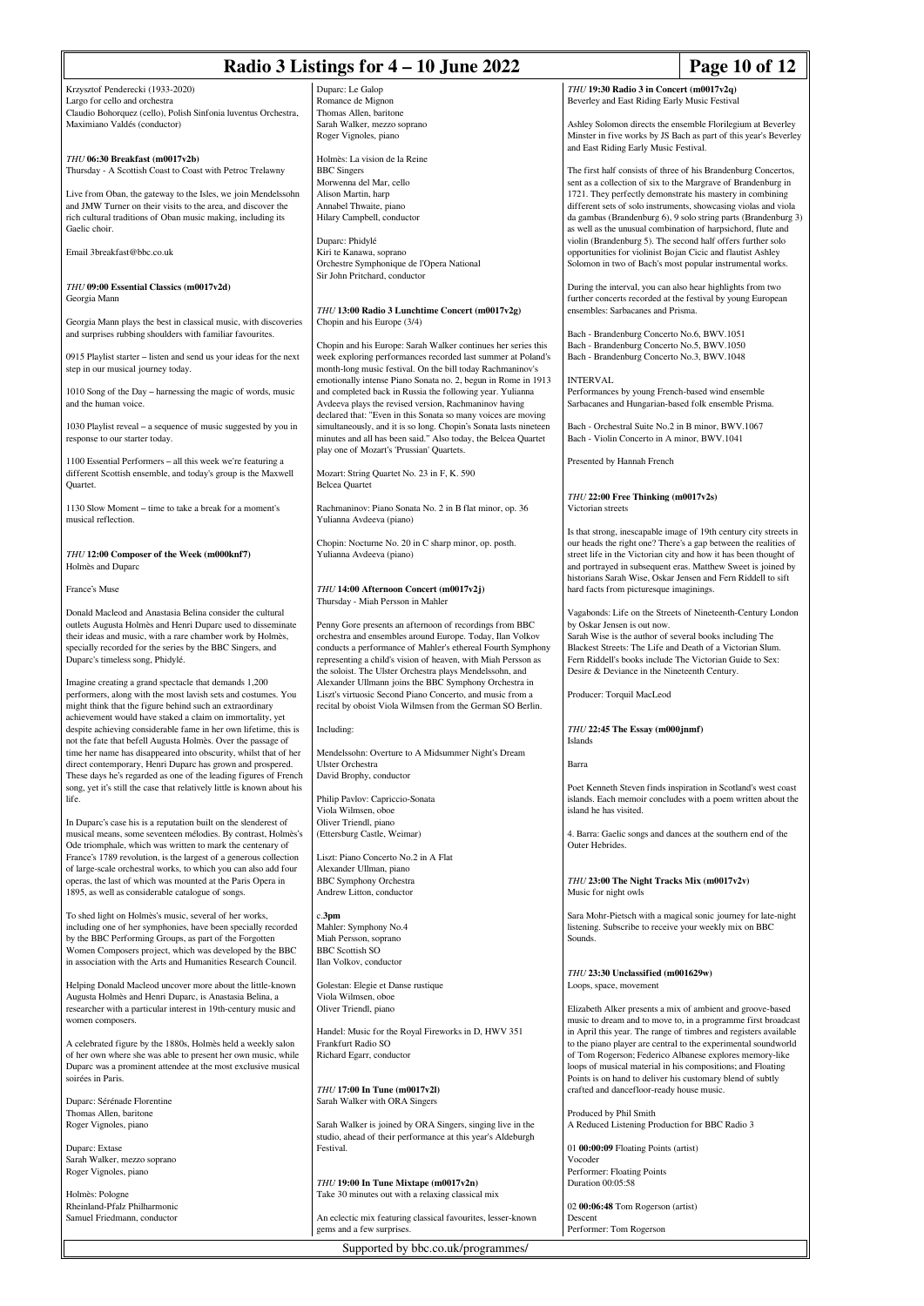| Page 10 of 12<br>Radio 3 Listings for $4 - 10$ June 2022                                                                                                                                                                                                                                                                                                                                                          |                                                                                                                                                                                                                                                                                                                                                                                                                                        |                                                                                                                                                                                                                                                                                              |                                                                                                                                                                                                                                                                          |
|-------------------------------------------------------------------------------------------------------------------------------------------------------------------------------------------------------------------------------------------------------------------------------------------------------------------------------------------------------------------------------------------------------------------|----------------------------------------------------------------------------------------------------------------------------------------------------------------------------------------------------------------------------------------------------------------------------------------------------------------------------------------------------------------------------------------------------------------------------------------|----------------------------------------------------------------------------------------------------------------------------------------------------------------------------------------------------------------------------------------------------------------------------------------------|--------------------------------------------------------------------------------------------------------------------------------------------------------------------------------------------------------------------------------------------------------------------------|
| Krzysztof Penderecki (1933-2020)<br>Largo for cello and orchestra<br>Claudio Bohorquez (cello), Polish Sinfonia luventus Orchestra,                                                                                                                                                                                                                                                                               | Duparc: Le Galop<br>Romance de Mignon<br>Thomas Allen, baritone                                                                                                                                                                                                                                                                                                                                                                        | THU 19:30 Radio 3 in Concert (m0017v2q)<br>Beverley and East Riding Early Music Festival                                                                                                                                                                                                     |                                                                                                                                                                                                                                                                          |
| Maximiano Valdés (conductor)                                                                                                                                                                                                                                                                                                                                                                                      | Sarah Walker, mezzo soprano<br>Roger Vignoles, piano                                                                                                                                                                                                                                                                                                                                                                                   | Ashley Solomon directs the ensemble Florilegium at Beverley<br>Minster in five works by JS Bach as part of this year's Beverley<br>and East Riding Early Music Festival.                                                                                                                     |                                                                                                                                                                                                                                                                          |
| THU 06:30 Breakfast (m0017v2b)<br>Thursday - A Scottish Coast to Coast with Petroc Trelawny                                                                                                                                                                                                                                                                                                                       | Holmès: La vision de la Reine<br><b>BBC</b> Singers<br>Morwenna del Mar, cello                                                                                                                                                                                                                                                                                                                                                         | sent as a collection of six to the Margrave of Brandenburg in                                                                                                                                                                                                                                | The first half consists of three of his Brandenburg Concertos,                                                                                                                                                                                                           |
| Live from Oban, the gateway to the Isles, we join Mendelssohn<br>and JMW Turner on their visits to the area, and discover the<br>rich cultural traditions of Oban music making, including its<br>Gaelic choir.                                                                                                                                                                                                    | Alison Martin, harp<br>Annabel Thwaite, piano<br>Hilary Campbell, conductor                                                                                                                                                                                                                                                                                                                                                            | 1721. They perfectly demonstrate his mastery in combining<br>as well as the unusual combination of harpsichord, flute and                                                                                                                                                                    | different sets of solo instruments, showcasing violas and viola<br>da gambas (Brandenburg 6), 9 solo string parts (Brandenburg 3)                                                                                                                                        |
| Email 3breakfast@bbc.co.uk                                                                                                                                                                                                                                                                                                                                                                                        | Duparc: Phidylé<br>Kiri te Kanawa, soprano<br>Orchestre Symphonique de l'Opera National<br>Sir John Pritchard, conductor                                                                                                                                                                                                                                                                                                               | violin (Brandenburg 5). The second half offers further solo<br>opportunities for violinist Bojan Cicic and flautist Ashley<br>Solomon in two of Bach's most popular instrumental works.                                                                                                      |                                                                                                                                                                                                                                                                          |
| THU 09:00 Essential Classics (m0017v2d)<br>Georgia Mann                                                                                                                                                                                                                                                                                                                                                           |                                                                                                                                                                                                                                                                                                                                                                                                                                        | During the interval, you can also hear highlights from two<br>further concerts recorded at the festival by young European                                                                                                                                                                    |                                                                                                                                                                                                                                                                          |
| Georgia Mann plays the best in classical music, with discoveries<br>and surprises rubbing shoulders with familiar favourites.                                                                                                                                                                                                                                                                                     | THU 13:00 Radio 3 Lunchtime Concert (m0017v2g)<br>Chopin and his Europe (3/4)                                                                                                                                                                                                                                                                                                                                                          | ensembles: Sarbacanes and Prisma.<br>Bach - Brandenburg Concerto No.6, BWV.1051                                                                                                                                                                                                              |                                                                                                                                                                                                                                                                          |
| 0915 Playlist starter – listen and send us your ideas for the next<br>step in our musical journey today.                                                                                                                                                                                                                                                                                                          | Chopin and his Europe: Sarah Walker continues her series this<br>week exploring performances recorded last summer at Poland's<br>month-long music festival. On the bill today Rachmaninov's                                                                                                                                                                                                                                            | Bach - Brandenburg Concerto No.5, BWV.1050<br>Bach - Brandenburg Concerto No.3, BWV.1048                                                                                                                                                                                                     |                                                                                                                                                                                                                                                                          |
| 1010 Song of the Day – harnessing the magic of words, music<br>and the human voice.                                                                                                                                                                                                                                                                                                                               | emotionally intense Piano Sonata no. 2, begun in Rome in 1913<br>and completed back in Russia the following year. Yulianna<br>Avdeeva plays the revised version, Rachmaninov having                                                                                                                                                                                                                                                    | <b>INTERVAL</b><br>Performances by young French-based wind ensemble<br>Sarbacanes and Hungarian-based folk ensemble Prisma.                                                                                                                                                                  |                                                                                                                                                                                                                                                                          |
| 1030 Playlist reveal - a sequence of music suggested by you in<br>response to our starter today.                                                                                                                                                                                                                                                                                                                  | declared that: "Even in this Sonata so many voices are moving<br>simultaneously, and it is so long. Chopin's Sonata lasts nineteen<br>minutes and all has been said." Also today, the Belcea Quartet<br>play one of Mozart's 'Prussian' Quartets.                                                                                                                                                                                      | Bach - Orchestral Suite No.2 in B minor, BWV.1067<br>Bach - Violin Concerto in A minor, BWV.1041                                                                                                                                                                                             |                                                                                                                                                                                                                                                                          |
| 1100 Essential Performers - all this week we're featuring a<br>different Scottish ensemble, and today's group is the Maxwell<br>Quartet.                                                                                                                                                                                                                                                                          | Mozart: String Quartet No. 23 in F, K. 590<br><b>Belcea</b> Quartet                                                                                                                                                                                                                                                                                                                                                                    | Presented by Hannah French                                                                                                                                                                                                                                                                   |                                                                                                                                                                                                                                                                          |
| 1130 Slow Moment – time to take a break for a moment's<br>musical reflection.                                                                                                                                                                                                                                                                                                                                     | Rachmaninov: Piano Sonata No. 2 in B flat minor, op. 36<br>Yulianna Avdeeva (piano)                                                                                                                                                                                                                                                                                                                                                    | THU 22:00 Free Thinking (m0017v2s)<br>Victorian streets                                                                                                                                                                                                                                      |                                                                                                                                                                                                                                                                          |
| THU 12:00 Composer of the Week (m000knf7)<br>Holmès and Duparc                                                                                                                                                                                                                                                                                                                                                    | Chopin: Nocturne No. 20 in C sharp minor, op. posth.<br>Yulianna Avdeeva (piano)                                                                                                                                                                                                                                                                                                                                                       |                                                                                                                                                                                                                                                                                              | Is that strong, inescapable image of 19th century city streets in<br>our heads the right one? There's a gap between the realities of<br>street life in the Victorian city and how it has been thought of<br>and portrayed in subsequent eras. Matthew Sweet is joined by |
| France's Muse                                                                                                                                                                                                                                                                                                                                                                                                     | THU 14:00 Afternoon Concert (m0017v2j)<br>Thursday - Miah Persson in Mahler                                                                                                                                                                                                                                                                                                                                                            | historians Sarah Wise, Oskar Jensen and Fern Riddell to sift<br>hard facts from picturesque imaginings.                                                                                                                                                                                      |                                                                                                                                                                                                                                                                          |
| Donald Macleod and Anastasia Belina consider the cultural<br>outlets Augusta Holmès and Henri Duparc used to disseminate<br>their ideas and music, with a rare chamber work by Holmès,<br>specially recorded for the series by the BBC Singers, and<br>Duparc's timeless song, Phidylé.<br>Imagine creating a grand spectacle that demands 1,200<br>performers, along with the most lavish sets and costumes. You | Penny Gore presents an afternoon of recordings from BBC<br>orchestra and ensembles around Europe. Today, Ilan Volkov<br>conducts a performance of Mahler's ethereal Fourth Symphony<br>representing a child's vision of heaven, with Miah Persson as<br>the soloist. The Ulster Orchestra plays Mendelssohn, and<br>Alexander Ullmann joins the BBC Symphony Orchestra in<br>Liszt's virtuosic Second Piano Concerto, and music from a | by Oskar Jensen is out now.<br>Sarah Wise is the author of several books including The<br>Blackest Streets: The Life and Death of a Victorian Slum.<br>Fern Riddell's books include The Victorian Guide to Sex:<br>Desire & Deviance in the Nineteenth Century.<br>Producer: Torquil MacLeod | Vagabonds: Life on the Streets of Nineteenth-Century London                                                                                                                                                                                                              |
| might think that the figure behind such an extraordinary<br>achievement would have staked a claim on immortality, yet<br>despite achieving considerable fame in her own lifetime, this is<br>not the fate that befell Augusta Holmès. Over the passage of<br>time her name has disappeared into obscurity, whilst that of her                                                                                     | recital by oboist Viola Wilmsen from the German SO Berlin.<br>Including:<br>Mendelssohn: Overture to A Midsummer Night's Dream                                                                                                                                                                                                                                                                                                         | THU 22:45 The Essay (m000 jnmf)<br><b>Islands</b>                                                                                                                                                                                                                                            |                                                                                                                                                                                                                                                                          |
| direct contemporary, Henri Duparc has grown and prospered.<br>These days he's regarded as one of the leading figures of French<br>song, yet it's still the case that relatively little is known about his                                                                                                                                                                                                         | <b>Ulster Orchestra</b><br>David Brophy, conductor                                                                                                                                                                                                                                                                                                                                                                                     | Barra                                                                                                                                                                                                                                                                                        | Poet Kenneth Steven finds inspiration in Scotland's west coast                                                                                                                                                                                                           |
| life.<br>In Duparc's case his is a reputation built on the slenderest of                                                                                                                                                                                                                                                                                                                                          | Philip Pavlov: Capriccio-Sonata<br>Viola Wilmsen, oboe<br>Oliver Triendl, piano                                                                                                                                                                                                                                                                                                                                                        | island he has visited.<br>4. Barra: Gaelic songs and dances at the southern end of the                                                                                                                                                                                                       | islands. Each memoir concludes with a poem written about the                                                                                                                                                                                                             |
| musical means, some seventeen mélodies. By contrast, Holmès's<br>Ode triomphale, which was written to mark the centenary of<br>France's 1789 revolution, is the largest of a generous collection                                                                                                                                                                                                                  | (Ettersburg Castle, Weimar)<br>Liszt: Piano Concerto No.2 in A Flat                                                                                                                                                                                                                                                                                                                                                                    | Outer Hebrides.                                                                                                                                                                                                                                                                              |                                                                                                                                                                                                                                                                          |
| of large-scale orchestral works, to which you can also add four<br>operas, the last of which was mounted at the Paris Opera in<br>1895, as well as considerable catalogue of songs.                                                                                                                                                                                                                               | Alexander Ullman, piano<br><b>BBC</b> Symphony Orchestra<br>Andrew Litton, conductor                                                                                                                                                                                                                                                                                                                                                   | THU 23:00 The Night Tracks Mix (m0017v2v)<br>Music for night owls                                                                                                                                                                                                                            |                                                                                                                                                                                                                                                                          |
| To shed light on Holmès's music, several of her works,<br>including one of her symphonies, have been specially recorded<br>by the BBC Performing Groups, as part of the Forgotten<br>Women Composers project, which was developed by the BBC                                                                                                                                                                      | c.3pm<br>Mahler: Symphony No.4<br>Miah Persson, soprano<br><b>BBC</b> Scottish SO                                                                                                                                                                                                                                                                                                                                                      | listening. Subscribe to receive your weekly mix on BBC<br>Sounds.                                                                                                                                                                                                                            | Sara Mohr-Pietsch with a magical sonic journey for late-night                                                                                                                                                                                                            |
| in association with the Arts and Humanities Research Council.                                                                                                                                                                                                                                                                                                                                                     | Ilan Volkov, conductor                                                                                                                                                                                                                                                                                                                                                                                                                 | THU 23:30 Unclassified (m001629w)                                                                                                                                                                                                                                                            |                                                                                                                                                                                                                                                                          |
| Helping Donald Macleod uncover more about the little-known<br>Augusta Holmès and Henri Duparc, is Anastasia Belina, a<br>researcher with a particular interest in 19th-century music and<br>women composers.                                                                                                                                                                                                      | Golestan: Elegie et Danse rustique<br>Viola Wilmsen, oboe<br>Oliver Triendl, piano                                                                                                                                                                                                                                                                                                                                                     | Loops, space, movement<br>Elizabeth Alker presents a mix of ambient and groove-based                                                                                                                                                                                                         | music to dream and to move to, in a programme first broadcast                                                                                                                                                                                                            |
| A celebrated figure by the 1880s, Holmès held a weekly salon<br>of her own where she was able to present her own music, while<br>Duparc was a prominent attendee at the most exclusive musical<br>soirées in Paris.                                                                                                                                                                                               | Handel: Music for the Royal Fireworks in D, HWV 351<br>Frankfurt Radio SO<br>Richard Egarr, conductor<br>THU 17:00 In Tune (m0017v2l)                                                                                                                                                                                                                                                                                                  | of Tom Rogerson; Federico Albanese explores memory-like<br>loops of musical material in his compositions; and Floating<br>Points is on hand to deliver his customary blend of subtly<br>crafted and dancefloor-ready house music.                                                            | in April this year. The range of timbres and registers available<br>to the piano player are central to the experimental soundworld                                                                                                                                       |
| Duparc: Sérénade Florentine<br>Thomas Allen, baritone<br>Roger Vignoles, piano                                                                                                                                                                                                                                                                                                                                    | Sarah Walker with ORA Singers<br>Sarah Walker is joined by ORA Singers, singing live in the                                                                                                                                                                                                                                                                                                                                            | Produced by Phil Smith<br>A Reduced Listening Production for BBC Radio 3                                                                                                                                                                                                                     |                                                                                                                                                                                                                                                                          |
| Duparc: Extase                                                                                                                                                                                                                                                                                                                                                                                                    | studio, ahead of their performance at this year's Aldeburgh<br>Festival.                                                                                                                                                                                                                                                                                                                                                               | 01 00:00:09 Floating Points (artist)                                                                                                                                                                                                                                                         |                                                                                                                                                                                                                                                                          |
| Sarah Walker, mezzo soprano<br>Roger Vignoles, piano                                                                                                                                                                                                                                                                                                                                                              | THU 19:00 In Tune Mixtape (m0017v2n)                                                                                                                                                                                                                                                                                                                                                                                                   | Vocoder<br>Performer: Floating Points<br>Duration 00:05:58                                                                                                                                                                                                                                   |                                                                                                                                                                                                                                                                          |
| Holmès: Pologne<br>Rheinland-Pfalz Philharmonic<br>Samuel Friedmann, conductor                                                                                                                                                                                                                                                                                                                                    | Take 30 minutes out with a relaxing classical mix<br>An eclectic mix featuring classical favourites, lesser-known<br>gems and a few surprises.                                                                                                                                                                                                                                                                                         | 02 00:06:48 Tom Rogerson (artist)<br>Descent<br>Performer: Tom Rogerson                                                                                                                                                                                                                      |                                                                                                                                                                                                                                                                          |

Supported by bbc.co.uk/programmes/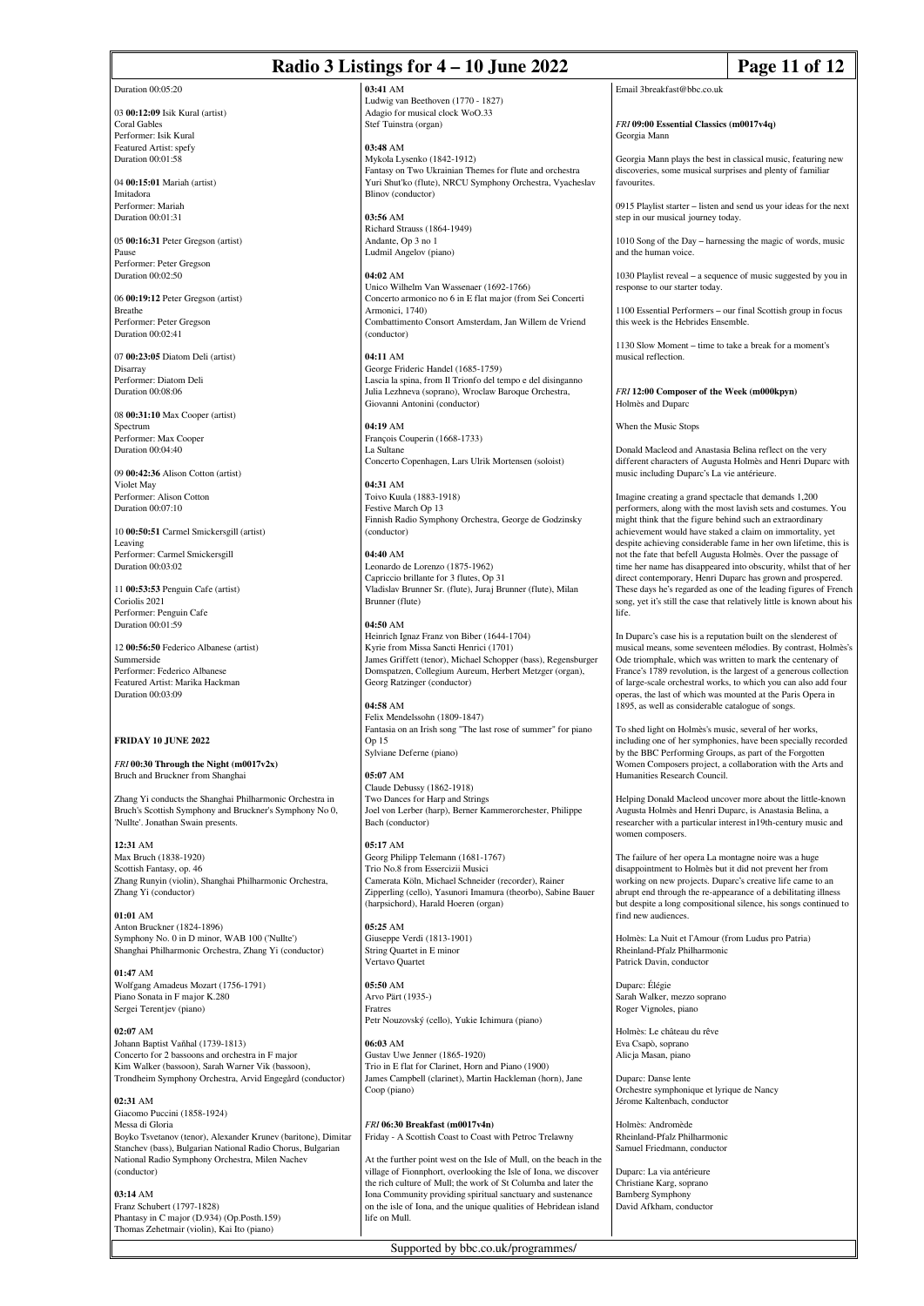## **Radio 3 Listings for 4 – 10 June 2022 Page 11 of 12**

Duration 00:05:20

03 **00:12:09** Isik Kural (artist) Coral Gables Performer: Isik Kural Featured Artist: spefy Duration 00:01:58

04 **00:15:01** Mariah (artist) Imitadora Performer: Mariah Duration 00:01:31

05 **00:16:31** Peter Gregson (artist) Pause Performer: Peter Gregson Duration 00:02:50

06 **00:19:12** Peter Gregson (artist) Breathe Performer: Peter Gregson Duration 00:02:41

07 **00:23:05** Diatom Deli (artist) Disarray Performer: Diatom Deli Duration 00:08:06

08 **00:31:10** Max Cooper (artist) Spectrum Performer: Max Cooper Duration 00:04:40

09 **00:42:36** Alison Cotton (artist) Violet May Performer: Alison Cotton Duration 00:07:10

10 **00:50:51** Carmel Smickersgill (artist) Leaving Performer: Carmel Smickersgill Duration 00:03:02

11 **00:53:53** Penguin Cafe (artist) Coriolis 2021 Performer: Penguin Cafe Duration 00:01:59

12 **00:56:50** Federico Albanese (artist) Summerside Performer: Federico Albanese Featured Artist: Marika Hackman Duration 00:03:09

### **FRIDAY 10 JUNE 2022**

*FRI* **00:30 Through the Night (m0017v2x)** Bruch and Bruckner from Shanghai

Zhang Yi conducts the Shanghai Philharmonic Orchestra in Bruch's Scottish Symphony and Bruckner's Symphony No 0, 'Nullte'. Jonathan Swain presents.

**12:31** AM Max Bruch (1838-1920) Scottish Fantasy, op. 46 Zhang Runyin (violin), Shanghai Philharmonic Orchestra, Zhang Yi (conductor)

**01:01** AM Anton Bruckner (1824-1896) Symphony No. 0 in D minor, WAB 100 ('Nullte') Shanghai Philharmonic Orchestra, Zhang Yi (conductor)

**01:47** AM Wolfgang Amadeus Mozart (1756-1791) Piano Sonata in F major K.280 Sergei Terentjev (piano)

**02:07** AM Johann Baptist Vaňhal (1739-1813) Concerto for 2 bassoons and orchestra in F major Kim Walker (bassoon), Sarah Warner Vik (bassoon), Trondheim Symphony Orchestra, Arvid Engegård (conductor)

**02:31** AM Giacomo Puccini (1858-1924) Messa di Gloria Boyko Tsvetanov (tenor), Alexander Krunev (baritone), Dimitar Stanchev (bass), Bulgarian National Radio Chorus, Bulgarian National Radio Symphony Orchestra, Milen Nachev (conductor)

**03:14** AM Franz Schubert (1797-1828) Phantasy in C major (D.934) (Op.Posth.159) Thomas Zehetmair (violin), Kai Ito (piano)

**03:41** AM Ludwig van Beethoven (1770 - 1827) Adagio for musical clock WoO.33 Stef Tuinstra (organ)

**03:48** AM Mykola Lysenko (1842-1912) Fantasy on Two Ukrainian Themes for flute and orchestra Yuri Shut'ko (flute), NRCU Symphony Orchestra, Vyacheslav Blinov (conductor)

**03:56** AM Richard Strauss (1864-1949) Andante, Op 3 no 1 Ludmil Angelov (piano)

**04:02** AM

Unico Wilhelm Van Wassenaer (1692-1766) Concerto armonico no 6 in E flat major (from Sei Concerti Armonici, 1740) Combattimento Consort Amsterdam, Jan Willem de Vriend (conductor)

**04:11** AM George Frideric Handel (1685-1759) Lascia la spina, from Il Trionfo del tempo e del disinganno Julia Lezhneva (soprano), Wroclaw Baroque Orchestra, Giovanni Antonini (conductor)

**04:19** AM François Couperin (1668-1733) La Sultane Concerto Copenhagen, Lars Ulrik Mortensen (soloist)

**04:31** AM Toivo Kuula (1883-1918) Festive March Op 13 Finnish Radio Symphony Orchestra, George de Godzinsky (conductor)

**04:40** AM Leonardo de Lorenzo (1875-1962) Capriccio brillante for 3 flutes, Op 31 Vladislav Brunner Sr. (flute), Juraj Brunner (flute), Milan Brunner (flute)

**04:50** AM Heinrich Ignaz Franz von Biber (1644-1704) Kyrie from Missa Sancti Henrici (1701) James Griffett (tenor), Michael Schopper (bass), Regensburger Domspatzen, Collegium Aureum, Herbert Metzger (organ), Georg Ratzinger (conductor)

**04:58** AM Felix Mendelssohn (1809-1847) Fantasia on an Irish song "The last rose of summer" for piano Op 15 Sylviane Deferne (piano)

**05:07** AM Claude Debussy (1862-1918) Two Dances for Harp and Strings Joel von Lerber (harp), Berner Kammerorchester, Philippe Bach (conductor)

**05:17** AM Georg Philipp Telemann (1681-1767) Trio No.8 from Essercizii Musici Camerata Köln, Michael Schneider (recorder), Rainer Zipperling (cello), Yasunori Imamura (theorbo), Sabine Bauer (harpsichord), Harald Hoeren (organ)

**05:25** AM Giuseppe Verdi (1813-1901) String Quartet in E minor Vertavo Quartet

**05:50** AM Arvo Pärt (1935-) Fratres Petr Nouzovský (cello), Yukie Ichimura (piano)

**06:03** AM Gustav Uwe Jenner (1865-1920) Trio in E flat for Clarinet, Horn and Piano (1900) James Campbell (clarinet), Martin Hackleman (horn), Jane Coop (piano)

*FRI* **06:30 Breakfast (m0017v4n)** Friday - A Scottish Coast to Coast with Petroc Trelawny

At the further point west on the Isle of Mull, on the beach in the village of Fionnphort, overlooking the Isle of Iona, we discover the rich culture of Mull; the work of St Columba and later the Iona Community providing spiritual sanctuary and sustenance on the isle of Iona, and the unique qualities of Hebridean island life on Mull.

Supported by bbc.co.uk/programmes/

Email 3breakfast@bbc.co.uk

*FRI* **09:00 Essential Classics (m0017v4q)** Georgia Mann

Georgia Mann plays the best in classical music, featuring new discoveries, some musical surprises and plenty of familiar favourites

0915 Playlist starter – listen and send us your ideas for the next step in our musical journey today.

1010 Song of the Day – harnessing the magic of words, music and the human voice.

1030 Playlist reveal – a sequence of music suggested by you in response to our starter today.

1100 Essential Performers – our final Scottish group in focus this week is the Hebrides Ensemble.

1130 Slow Moment – time to take a break for a moment's musical reflection.

*FRI* **12:00 Composer of the Week (m000kpyn)** Holmès and Duparc

When the Music Stops

Donald Macleod and Anastasia Belina reflect on the very different characters of Augusta Holmès and Henri Duparc with music including Duparc's La vie antérieure.

Imagine creating a grand spectacle that demands 1,200 performers, along with the most lavish sets and costumes. You might think that the figure behind such an extraordinary achievement would have staked a claim on immortality, yet despite achieving considerable fame in her own lifetime, this is not the fate that befell Augusta Holmès. Over the passage of time her name has disappeared into obscurity, whilst that of her direct contemporary, Henri Duparc has grown and prospered. These days he's regarded as one of the leading figures of French song, yet it's still the case that relatively little is known about his life.

In Duparc's case his is a reputation built on the slenderest of musical means, some seventeen mélodies. By contrast, Holmès's Ode triomphale, which was written to mark the centenary of France's 1789 revolution, is the largest of a generous collection of large-scale orchestral works, to which you can also add four operas, the last of which was mounted at the Paris Opera in 1895, as well as considerable catalogue of songs.

To shed light on Holmès's music, several of her works, including one of her symphonies, have been specially recorded by the BBC Performing Groups, as part of the Forgotten Women Composers project, a collaboration with the Arts and Humanities Research Council.

Helping Donald Macleod uncover more about the little-known Augusta Holmès and Henri Duparc, is Anastasia Belina, a researcher with a particular interest in19th-century music and women composers

The failure of her opera La montagne noire was a huge disappointment to Holmès but it did not prevent her from working on new projects. Duparc's creative life came to an abrupt end through the re-appearance of a debilitating illness but despite a long compositional silence, his songs continued to find new audiences.

Holmès: La Nuit et l'Amour (from Ludus pro Patria) Rheinland-Pfalz Philharmonic Patrick Davin, conductor

Duparc: Élégie Sarah Walker, mezzo soprano Roger Vignoles, piano

Holmès: Le château du rêve Eva Csapò, soprano Alicja Masan, piano

Duparc: Danse lente Orchestre symphonique et lyrique de Nancy Jérome Kaltenbach, conducto

Holmès: Andromède Rheinland-Pfalz Philharmonic Samuel Friedmann, conductor

Duparc: La via antérieure Christiane Karg, soprano Bamberg Symphony David Afkham, conductor